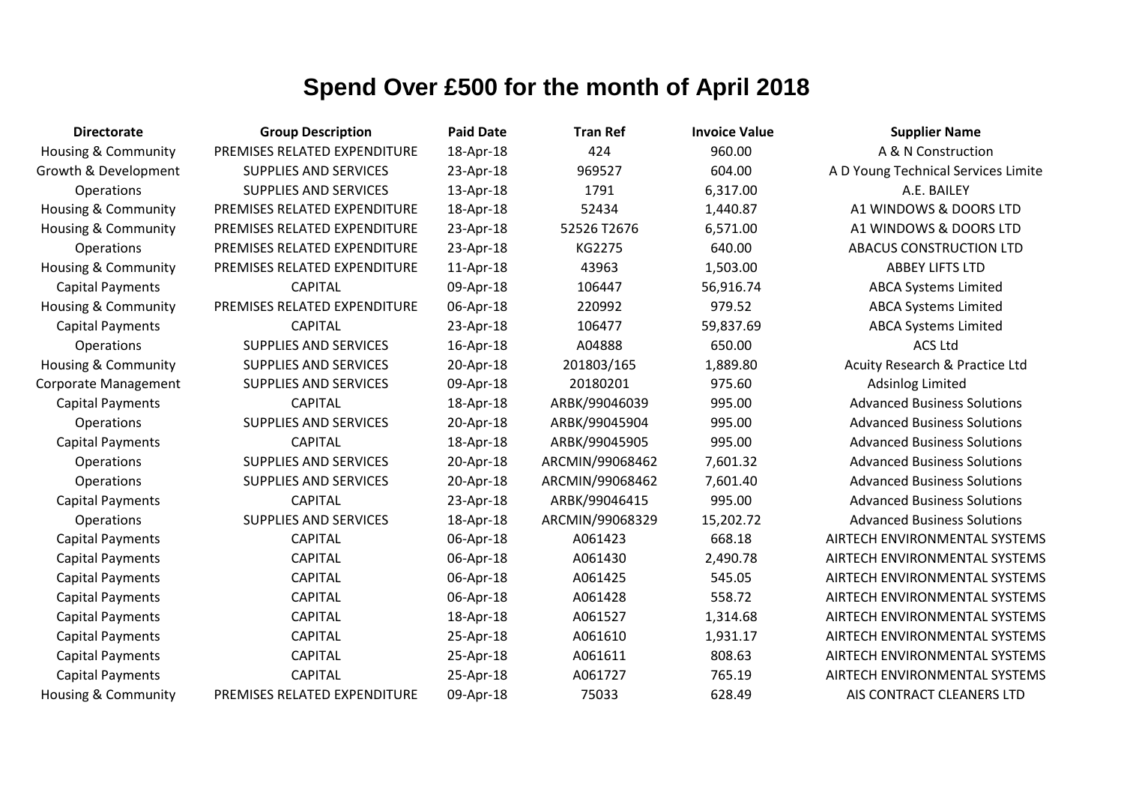| <b>Directorate</b>             | <b>Group Description</b>     | <b>Paid Date</b> | <b>Tran Ref</b> | <b>Invoice Value</b> | <b>Supplier Name</b>                |
|--------------------------------|------------------------------|------------------|-----------------|----------------------|-------------------------------------|
| <b>Housing &amp; Community</b> | PREMISES RELATED EXPENDITURE | 18-Apr-18        | 424             | 960.00               | A & N Construction                  |
| Growth & Development           | SUPPLIES AND SERVICES        | 23-Apr-18        | 969527          | 604.00               | A D Young Technical Services Limite |
| Operations                     | SUPPLIES AND SERVICES        | 13-Apr-18        | 1791            | 6,317.00             | A.E. BAILEY                         |
| <b>Housing &amp; Community</b> | PREMISES RELATED EXPENDITURE | 18-Apr-18        | 52434           | 1,440.87             | A1 WINDOWS & DOORS LTD              |
| <b>Housing &amp; Community</b> | PREMISES RELATED EXPENDITURE | 23-Apr-18        | 52526 T2676     | 6,571.00             | A1 WINDOWS & DOORS LTD              |
| Operations                     | PREMISES RELATED EXPENDITURE | 23-Apr-18        | KG2275          | 640.00               | <b>ABACUS CONSTRUCTION LTD</b>      |
| Housing & Community            | PREMISES RELATED EXPENDITURE | 11-Apr-18        | 43963           | 1,503.00             | <b>ABBEY LIFTS LTD</b>              |
| <b>Capital Payments</b>        | <b>CAPITAL</b>               | 09-Apr-18        | 106447          | 56,916.74            | <b>ABCA Systems Limited</b>         |
| <b>Housing &amp; Community</b> | PREMISES RELATED EXPENDITURE | 06-Apr-18        | 220992          | 979.52               | <b>ABCA Systems Limited</b>         |
| <b>Capital Payments</b>        | <b>CAPITAL</b>               | 23-Apr-18        | 106477          | 59,837.69            | <b>ABCA Systems Limited</b>         |
| Operations                     | <b>SUPPLIES AND SERVICES</b> | 16-Apr-18        | A04888          | 650.00               | <b>ACS Ltd</b>                      |
| <b>Housing &amp; Community</b> | SUPPLIES AND SERVICES        | 20-Apr-18        | 201803/165      | 1,889.80             | Acuity Research & Practice Ltd      |
| <b>Corporate Management</b>    | <b>SUPPLIES AND SERVICES</b> | 09-Apr-18        | 20180201        | 975.60               | <b>Adsinlog Limited</b>             |
| <b>Capital Payments</b>        | <b>CAPITAL</b>               | 18-Apr-18        | ARBK/99046039   | 995.00               | <b>Advanced Business Solutions</b>  |
| Operations                     | <b>SUPPLIES AND SERVICES</b> | 20-Apr-18        | ARBK/99045904   | 995.00               | <b>Advanced Business Solutions</b>  |
| <b>Capital Payments</b>        | <b>CAPITAL</b>               | 18-Apr-18        | ARBK/99045905   | 995.00               | <b>Advanced Business Solutions</b>  |
| Operations                     | <b>SUPPLIES AND SERVICES</b> | 20-Apr-18        | ARCMIN/99068462 | 7,601.32             | <b>Advanced Business Solutions</b>  |
| Operations                     | <b>SUPPLIES AND SERVICES</b> | 20-Apr-18        | ARCMIN/99068462 | 7,601.40             | <b>Advanced Business Solutions</b>  |
| <b>Capital Payments</b>        | <b>CAPITAL</b>               | 23-Apr-18        | ARBK/99046415   | 995.00               | <b>Advanced Business Solutions</b>  |
| Operations                     | <b>SUPPLIES AND SERVICES</b> | 18-Apr-18        | ARCMIN/99068329 | 15,202.72            | <b>Advanced Business Solutions</b>  |
| <b>Capital Payments</b>        | <b>CAPITAL</b>               | 06-Apr-18        | A061423         | 668.18               | AIRTECH ENVIRONMENTAL SYSTEMS       |
| <b>Capital Payments</b>        | <b>CAPITAL</b>               | 06-Apr-18        | A061430         | 2,490.78             | AIRTECH ENVIRONMENTAL SYSTEMS       |
| <b>Capital Payments</b>        | <b>CAPITAL</b>               | 06-Apr-18        | A061425         | 545.05               | AIRTECH ENVIRONMENTAL SYSTEMS       |
| <b>Capital Payments</b>        | <b>CAPITAL</b>               | 06-Apr-18        | A061428         | 558.72               | AIRTECH ENVIRONMENTAL SYSTEMS       |
| <b>Capital Payments</b>        | <b>CAPITAL</b>               | 18-Apr-18        | A061527         | 1,314.68             | AIRTECH ENVIRONMENTAL SYSTEMS       |
| <b>Capital Payments</b>        | <b>CAPITAL</b>               | 25-Apr-18        | A061610         | 1,931.17             | AIRTECH ENVIRONMENTAL SYSTEMS       |
| <b>Capital Payments</b>        | <b>CAPITAL</b>               | 25-Apr-18        | A061611         | 808.63               | AIRTECH ENVIRONMENTAL SYSTEMS       |
| <b>Capital Payments</b>        | <b>CAPITAL</b>               | 25-Apr-18        | A061727         | 765.19               | AIRTECH ENVIRONMENTAL SYSTEMS       |
| Housing & Community            | PREMISES RELATED EXPENDITURE | 09-Apr-18        | 75033           | 628.49               | AIS CONTRACT CLEANERS LTD           |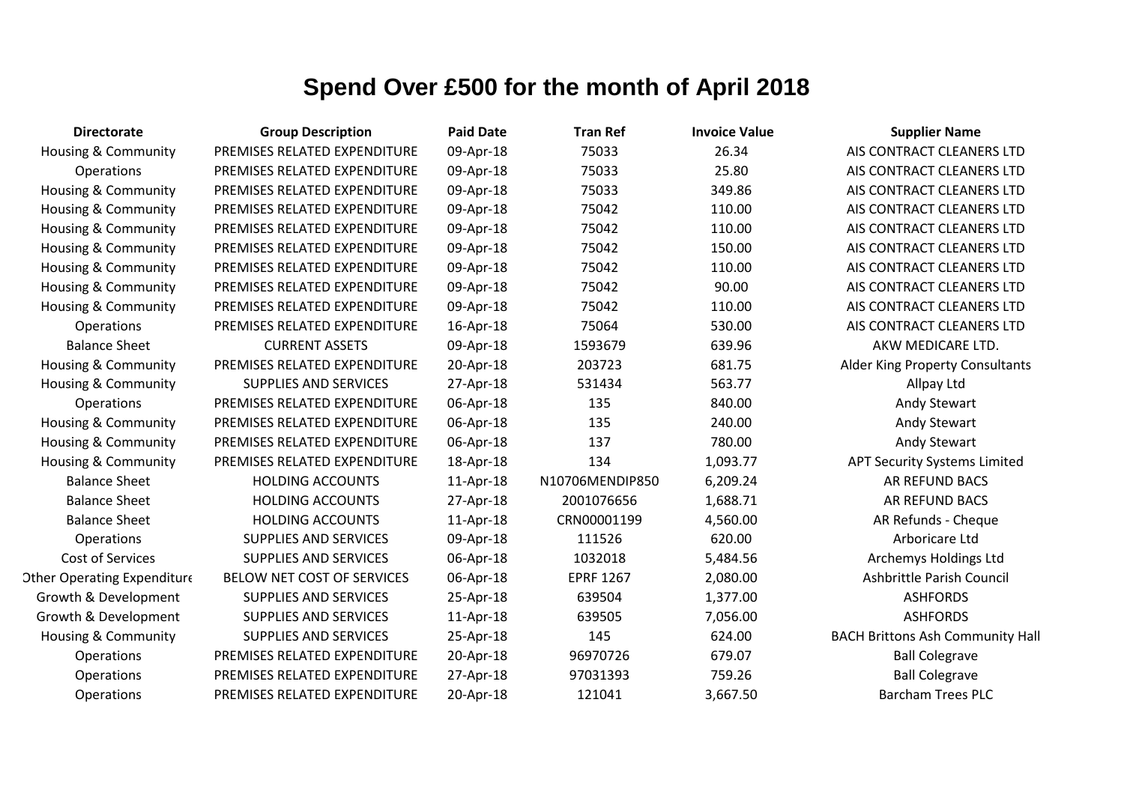| <b>Directorate</b>                 | <b>Group Description</b>     | <b>Paid Date</b> | <b>Tran Ref</b>  | <b>Invoice Value</b> | <b>Supplier Name</b>                    |
|------------------------------------|------------------------------|------------------|------------------|----------------------|-----------------------------------------|
| <b>Housing &amp; Community</b>     | PREMISES RELATED EXPENDITURE | 09-Apr-18        | 75033            | 26.34                | AIS CONTRACT CLEANERS LTD               |
| <b>Operations</b>                  | PREMISES RELATED EXPENDITURE | 09-Apr-18        | 75033            | 25.80                | AIS CONTRACT CLEANERS LTD               |
| Housing & Community                | PREMISES RELATED EXPENDITURE | 09-Apr-18        | 75033            | 349.86               | AIS CONTRACT CLEANERS LTD               |
| Housing & Community                | PREMISES RELATED EXPENDITURE | 09-Apr-18        | 75042            | 110.00               | AIS CONTRACT CLEANERS LTD               |
| Housing & Community                | PREMISES RELATED EXPENDITURE | 09-Apr-18        | 75042            | 110.00               | AIS CONTRACT CLEANERS LTD               |
| Housing & Community                | PREMISES RELATED EXPENDITURE | 09-Apr-18        | 75042            | 150.00               | AIS CONTRACT CLEANERS LTD               |
| Housing & Community                | PREMISES RELATED EXPENDITURE | 09-Apr-18        | 75042            | 110.00               | AIS CONTRACT CLEANERS LTD               |
| <b>Housing &amp; Community</b>     | PREMISES RELATED EXPENDITURE | 09-Apr-18        | 75042            | 90.00                | AIS CONTRACT CLEANERS LTD               |
| <b>Housing &amp; Community</b>     | PREMISES RELATED EXPENDITURE | 09-Apr-18        | 75042            | 110.00               | AIS CONTRACT CLEANERS LTD               |
| Operations                         | PREMISES RELATED EXPENDITURE | 16-Apr-18        | 75064            | 530.00               | AIS CONTRACT CLEANERS LTD               |
| <b>Balance Sheet</b>               | <b>CURRENT ASSETS</b>        | 09-Apr-18        | 1593679          | 639.96               | AKW MEDICARE LTD.                       |
| Housing & Community                | PREMISES RELATED EXPENDITURE | 20-Apr-18        | 203723           | 681.75               | Alder King Property Consultants         |
| <b>Housing &amp; Community</b>     | <b>SUPPLIES AND SERVICES</b> | 27-Apr-18        | 531434           | 563.77               | Allpay Ltd                              |
| <b>Operations</b>                  | PREMISES RELATED EXPENDITURE | 06-Apr-18        | 135              | 840.00               | Andy Stewart                            |
| <b>Housing &amp; Community</b>     | PREMISES RELATED EXPENDITURE | 06-Apr-18        | 135              | 240.00               | Andy Stewart                            |
| <b>Housing &amp; Community</b>     | PREMISES RELATED EXPENDITURE | 06-Apr-18        | 137              | 780.00               | Andy Stewart                            |
| <b>Housing &amp; Community</b>     | PREMISES RELATED EXPENDITURE | 18-Apr-18        | 134              | 1,093.77             | <b>APT Security Systems Limited</b>     |
| <b>Balance Sheet</b>               | <b>HOLDING ACCOUNTS</b>      | 11-Apr-18        | N10706MENDIP850  | 6,209.24             | AR REFUND BACS                          |
| <b>Balance Sheet</b>               | <b>HOLDING ACCOUNTS</b>      | 27-Apr-18        | 2001076656       | 1,688.71             | AR REFUND BACS                          |
| <b>Balance Sheet</b>               | <b>HOLDING ACCOUNTS</b>      | 11-Apr-18        | CRN00001199      | 4,560.00             | AR Refunds - Cheque                     |
| Operations                         | <b>SUPPLIES AND SERVICES</b> | 09-Apr-18        | 111526           | 620.00               | Arboricare Ltd                          |
| Cost of Services                   | <b>SUPPLIES AND SERVICES</b> | 06-Apr-18        | 1032018          | 5,484.56             | Archemys Holdings Ltd                   |
| <b>Other Operating Expenditure</b> | BELOW NET COST OF SERVICES   | 06-Apr-18        | <b>EPRF 1267</b> | 2,080.00             | Ashbrittle Parish Council               |
| Growth & Development               | <b>SUPPLIES AND SERVICES</b> | 25-Apr-18        | 639504           | 1,377.00             | <b>ASHFORDS</b>                         |
| Growth & Development               | <b>SUPPLIES AND SERVICES</b> | 11-Apr-18        | 639505           | 7,056.00             | <b>ASHFORDS</b>                         |
| <b>Housing &amp; Community</b>     | <b>SUPPLIES AND SERVICES</b> | 25-Apr-18        | 145              | 624.00               | <b>BACH Brittons Ash Community Hall</b> |
| <b>Operations</b>                  | PREMISES RELATED EXPENDITURE | 20-Apr-18        | 96970726         | 679.07               | <b>Ball Colegrave</b>                   |
| Operations                         | PREMISES RELATED EXPENDITURE | 27-Apr-18        | 97031393         | 759.26               | <b>Ball Colegrave</b>                   |
| Operations                         | PREMISES RELATED EXPENDITURE | 20-Apr-18        | 121041           | 3,667.50             | <b>Barcham Trees PLC</b>                |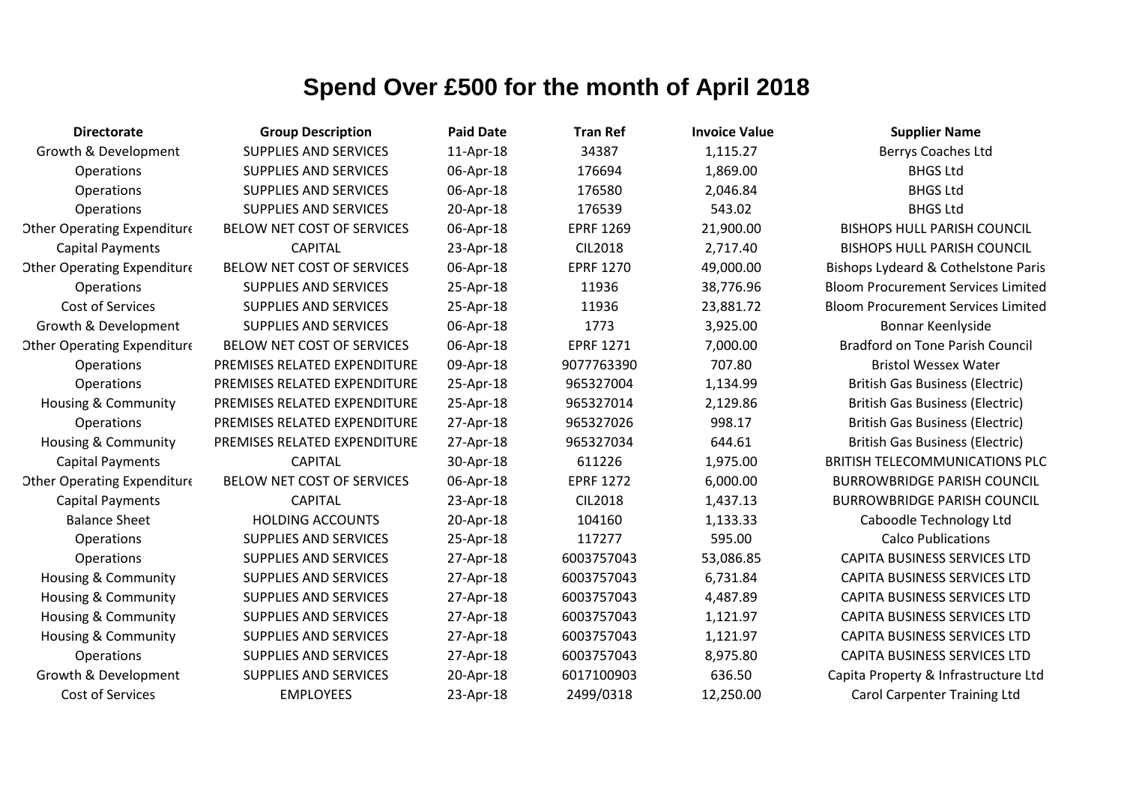| <b>Directorate</b>                 | <b>Group Description</b>     | <b>Paid Date</b> | <b>Tran Ref</b>  | <b>Invoice Value</b> | <b>Supplier Name</b>                      |
|------------------------------------|------------------------------|------------------|------------------|----------------------|-------------------------------------------|
| Growth & Development               | <b>SUPPLIES AND SERVICES</b> | 11-Apr-18        | 34387            | 1,115.27             | Berrys Coaches Ltd                        |
| <b>Operations</b>                  | <b>SUPPLIES AND SERVICES</b> | 06-Apr-18        | 176694           | 1,869.00             | <b>BHGS Ltd</b>                           |
| Operations                         | <b>SUPPLIES AND SERVICES</b> | 06-Apr-18        | 176580           | 2,046.84             | <b>BHGS Ltd</b>                           |
| Operations                         | <b>SUPPLIES AND SERVICES</b> | 20-Apr-18        | 176539           | 543.02               | <b>BHGS Ltd</b>                           |
| <b>Other Operating Expenditure</b> | BELOW NET COST OF SERVICES   | 06-Apr-18        | <b>EPRF 1269</b> | 21,900.00            | <b>BISHOPS HULL PARISH COUNCIL</b>        |
| <b>Capital Payments</b>            | <b>CAPITAL</b>               | 23-Apr-18        | <b>CIL2018</b>   | 2,717.40             | <b>BISHOPS HULL PARISH COUNCIL</b>        |
| <b>Other Operating Expenditure</b> | BELOW NET COST OF SERVICES   | 06-Apr-18        | <b>EPRF 1270</b> | 49,000.00            | Bishops Lydeard & Cothelstone Paris       |
| <b>Operations</b>                  | <b>SUPPLIES AND SERVICES</b> | 25-Apr-18        | 11936            | 38,776.96            | <b>Bloom Procurement Services Limited</b> |
| <b>Cost of Services</b>            | SUPPLIES AND SERVICES        | 25-Apr-18        | 11936            | 23,881.72            | <b>Bloom Procurement Services Limited</b> |
| Growth & Development               | <b>SUPPLIES AND SERVICES</b> | 06-Apr-18        | 1773             | 3,925.00             | Bonnar Keenlyside                         |
| <b>Other Operating Expenditure</b> | BELOW NET COST OF SERVICES   | 06-Apr-18        | <b>EPRF 1271</b> | 7,000.00             | <b>Bradford on Tone Parish Council</b>    |
| Operations                         | PREMISES RELATED EXPENDITURE | 09-Apr-18        | 9077763390       | 707.80               | <b>Bristol Wessex Water</b>               |
| Operations                         | PREMISES RELATED EXPENDITURE | 25-Apr-18        | 965327004        | 1,134.99             | <b>British Gas Business (Electric)</b>    |
| <b>Housing &amp; Community</b>     | PREMISES RELATED EXPENDITURE | 25-Apr-18        | 965327014        | 2,129.86             | <b>British Gas Business (Electric)</b>    |
| <b>Operations</b>                  | PREMISES RELATED EXPENDITURE | 27-Apr-18        | 965327026        | 998.17               | <b>British Gas Business (Electric)</b>    |
| <b>Housing &amp; Community</b>     | PREMISES RELATED EXPENDITURE | 27-Apr-18        | 965327034        | 644.61               | <b>British Gas Business (Electric)</b>    |
| <b>Capital Payments</b>            | <b>CAPITAL</b>               | 30-Apr-18        | 611226           | 1,975.00             | <b>BRITISH TELECOMMUNICATIONS PLC</b>     |
| <b>Other Operating Expenditure</b> | BELOW NET COST OF SERVICES   | 06-Apr-18        | <b>EPRF 1272</b> | 6,000.00             | <b>BURROWBRIDGE PARISH COUNCIL</b>        |
| <b>Capital Payments</b>            | <b>CAPITAL</b>               | 23-Apr-18        | <b>CIL2018</b>   | 1,437.13             | <b>BURROWBRIDGE PARISH COUNCIL</b>        |
| <b>Balance Sheet</b>               | <b>HOLDING ACCOUNTS</b>      | 20-Apr-18        | 104160           | 1,133.33             | Caboodle Technology Ltd                   |
| Operations                         | <b>SUPPLIES AND SERVICES</b> | 25-Apr-18        | 117277           | 595.00               | <b>Calco Publications</b>                 |
| Operations                         | <b>SUPPLIES AND SERVICES</b> | 27-Apr-18        | 6003757043       | 53,086.85            | CAPITA BUSINESS SERVICES LTD              |
| <b>Housing &amp; Community</b>     | <b>SUPPLIES AND SERVICES</b> | 27-Apr-18        | 6003757043       | 6,731.84             | CAPITA BUSINESS SERVICES LTD              |
| Housing & Community                | <b>SUPPLIES AND SERVICES</b> | 27-Apr-18        | 6003757043       | 4,487.89             | CAPITA BUSINESS SERVICES LTD              |
| <b>Housing &amp; Community</b>     | <b>SUPPLIES AND SERVICES</b> | 27-Apr-18        | 6003757043       | 1,121.97             | <b>CAPITA BUSINESS SERVICES LTD</b>       |
| <b>Housing &amp; Community</b>     | <b>SUPPLIES AND SERVICES</b> | 27-Apr-18        | 6003757043       | 1,121.97             | <b>CAPITA BUSINESS SERVICES LTD</b>       |
| <b>Operations</b>                  | <b>SUPPLIES AND SERVICES</b> | 27-Apr-18        | 6003757043       | 8,975.80             | <b>CAPITA BUSINESS SERVICES LTD</b>       |
| Growth & Development               | <b>SUPPLIES AND SERVICES</b> | 20-Apr-18        | 6017100903       | 636.50               | Capita Property & Infrastructure Ltd      |
| Cost of Services                   | <b>EMPLOYEES</b>             | 23-Apr-18        | 2499/0318        | 12,250.00            | <b>Carol Carpenter Training Ltd</b>       |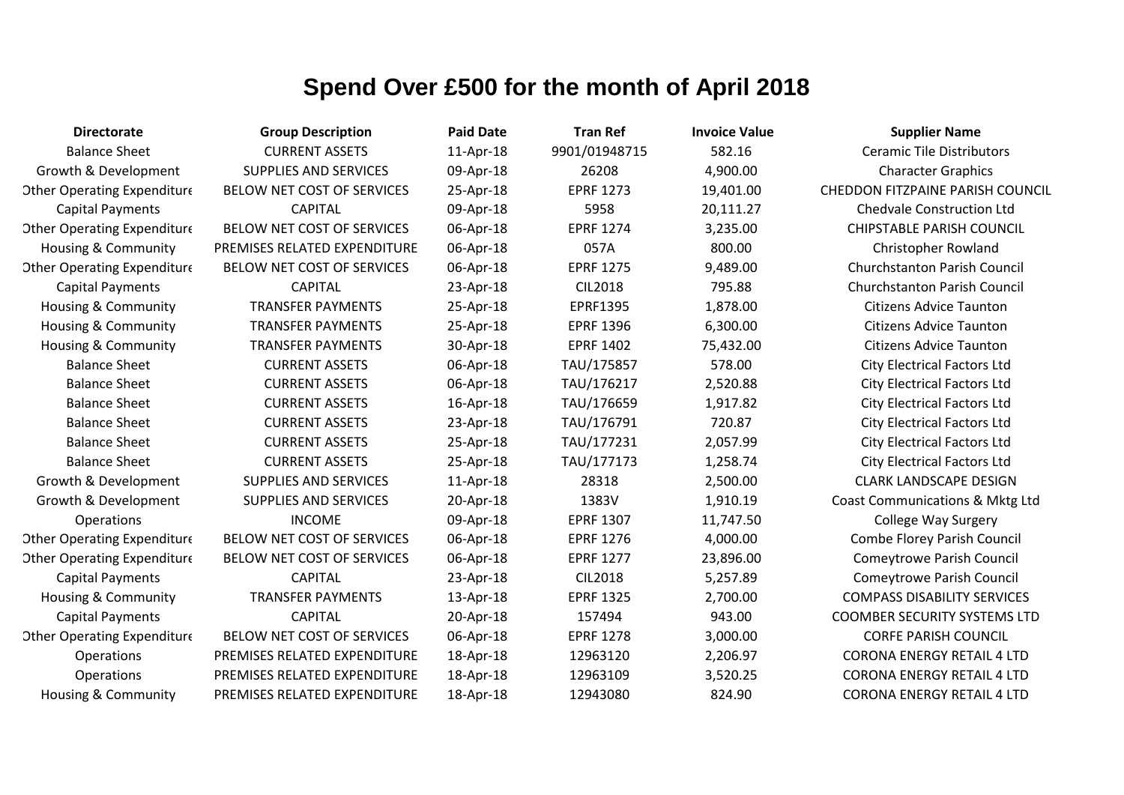| <b>Directorate</b>                 | <b>Group Description</b>     | <b>Paid Date</b> | <b>Tran Ref</b>  | <b>Invoice Value</b> | <b>Supplier Name</b>                |
|------------------------------------|------------------------------|------------------|------------------|----------------------|-------------------------------------|
| <b>Balance Sheet</b>               | <b>CURRENT ASSETS</b>        | 11-Apr-18        | 9901/01948715    | 582.16               | <b>Ceramic Tile Distributors</b>    |
| Growth & Development               | <b>SUPPLIES AND SERVICES</b> | 09-Apr-18        | 26208            | 4,900.00             | <b>Character Graphics</b>           |
| <b>Other Operating Expenditure</b> | BELOW NET COST OF SERVICES   | 25-Apr-18        | <b>EPRF 1273</b> | 19,401.00            | CHEDDON FITZPAINE PARISH COUNCIL    |
| <b>Capital Payments</b>            | <b>CAPITAL</b>               | 09-Apr-18        | 5958             | 20,111.27            | <b>Chedvale Construction Ltd</b>    |
| <b>Other Operating Expenditure</b> | BELOW NET COST OF SERVICES   | 06-Apr-18        | <b>EPRF 1274</b> | 3,235.00             | <b>CHIPSTABLE PARISH COUNCIL</b>    |
| Housing & Community                | PREMISES RELATED EXPENDITURE | 06-Apr-18        | 057A             | 800.00               | <b>Christopher Rowland</b>          |
| <b>Other Operating Expenditure</b> | BELOW NET COST OF SERVICES   | 06-Apr-18        | <b>EPRF 1275</b> | 9,489.00             | <b>Churchstanton Parish Council</b> |
| <b>Capital Payments</b>            | <b>CAPITAL</b>               | 23-Apr-18        | <b>CIL2018</b>   | 795.88               | <b>Churchstanton Parish Council</b> |
| <b>Housing &amp; Community</b>     | <b>TRANSFER PAYMENTS</b>     | 25-Apr-18        | EPRF1395         | 1,878.00             | <b>Citizens Advice Taunton</b>      |
| <b>Housing &amp; Community</b>     | <b>TRANSFER PAYMENTS</b>     | 25-Apr-18        | <b>EPRF 1396</b> | 6,300.00             | <b>Citizens Advice Taunton</b>      |
| Housing & Community                | <b>TRANSFER PAYMENTS</b>     | 30-Apr-18        | <b>EPRF 1402</b> | 75,432.00            | <b>Citizens Advice Taunton</b>      |
| <b>Balance Sheet</b>               | <b>CURRENT ASSETS</b>        | 06-Apr-18        | TAU/175857       | 578.00               | <b>City Electrical Factors Ltd</b>  |
| <b>Balance Sheet</b>               | <b>CURRENT ASSETS</b>        | 06-Apr-18        | TAU/176217       | 2,520.88             | <b>City Electrical Factors Ltd</b>  |
| <b>Balance Sheet</b>               | <b>CURRENT ASSETS</b>        | 16-Apr-18        | TAU/176659       | 1,917.82             | <b>City Electrical Factors Ltd</b>  |
| <b>Balance Sheet</b>               | <b>CURRENT ASSETS</b>        | 23-Apr-18        | TAU/176791       | 720.87               | <b>City Electrical Factors Ltd</b>  |
| <b>Balance Sheet</b>               | <b>CURRENT ASSETS</b>        | 25-Apr-18        | TAU/177231       | 2,057.99             | <b>City Electrical Factors Ltd</b>  |
| <b>Balance Sheet</b>               | <b>CURRENT ASSETS</b>        | 25-Apr-18        | TAU/177173       | 1,258.74             | <b>City Electrical Factors Ltd</b>  |
| Growth & Development               | <b>SUPPLIES AND SERVICES</b> | 11-Apr-18        | 28318            | 2,500.00             | <b>CLARK LANDSCAPE DESIGN</b>       |
| Growth & Development               | <b>SUPPLIES AND SERVICES</b> | 20-Apr-18        | 1383V            | 1,910.19             | Coast Communications & Mktg Ltd     |
| Operations                         | <b>INCOME</b>                | 09-Apr-18        | <b>EPRF 1307</b> | 11,747.50            | <b>College Way Surgery</b>          |
| <b>Other Operating Expenditure</b> | BELOW NET COST OF SERVICES   | 06-Apr-18        | <b>EPRF 1276</b> | 4,000.00             | <b>Combe Florey Parish Council</b>  |
| <b>Other Operating Expenditure</b> | BELOW NET COST OF SERVICES   | 06-Apr-18        | <b>EPRF 1277</b> | 23,896.00            | <b>Comeytrowe Parish Council</b>    |
| <b>Capital Payments</b>            | <b>CAPITAL</b>               | 23-Apr-18        | <b>CIL2018</b>   | 5,257.89             | <b>Comeytrowe Parish Council</b>    |
| Housing & Community                | <b>TRANSFER PAYMENTS</b>     | 13-Apr-18        | <b>EPRF 1325</b> | 2,700.00             | <b>COMPASS DISABILITY SERVICES</b>  |
| <b>Capital Payments</b>            | <b>CAPITAL</b>               | 20-Apr-18        | 157494           | 943.00               | <b>COOMBER SECURITY SYSTEMS LTD</b> |
| <b>Other Operating Expenditure</b> | BELOW NET COST OF SERVICES   | 06-Apr-18        | <b>EPRF 1278</b> | 3,000.00             | <b>CORFE PARISH COUNCIL</b>         |
| <b>Operations</b>                  | PREMISES RELATED EXPENDITURE | 18-Apr-18        | 12963120         | 2,206.97             | <b>CORONA ENERGY RETAIL 4 LTD</b>   |
| Operations                         | PREMISES RELATED EXPENDITURE | 18-Apr-18        | 12963109         | 3,520.25             | <b>CORONA ENERGY RETAIL 4 LTD</b>   |
| Housing & Community                | PREMISES RELATED EXPENDITURE | 18-Apr-18        | 12943080         | 824.90               | <b>CORONA ENERGY RETAIL 4 LTD</b>   |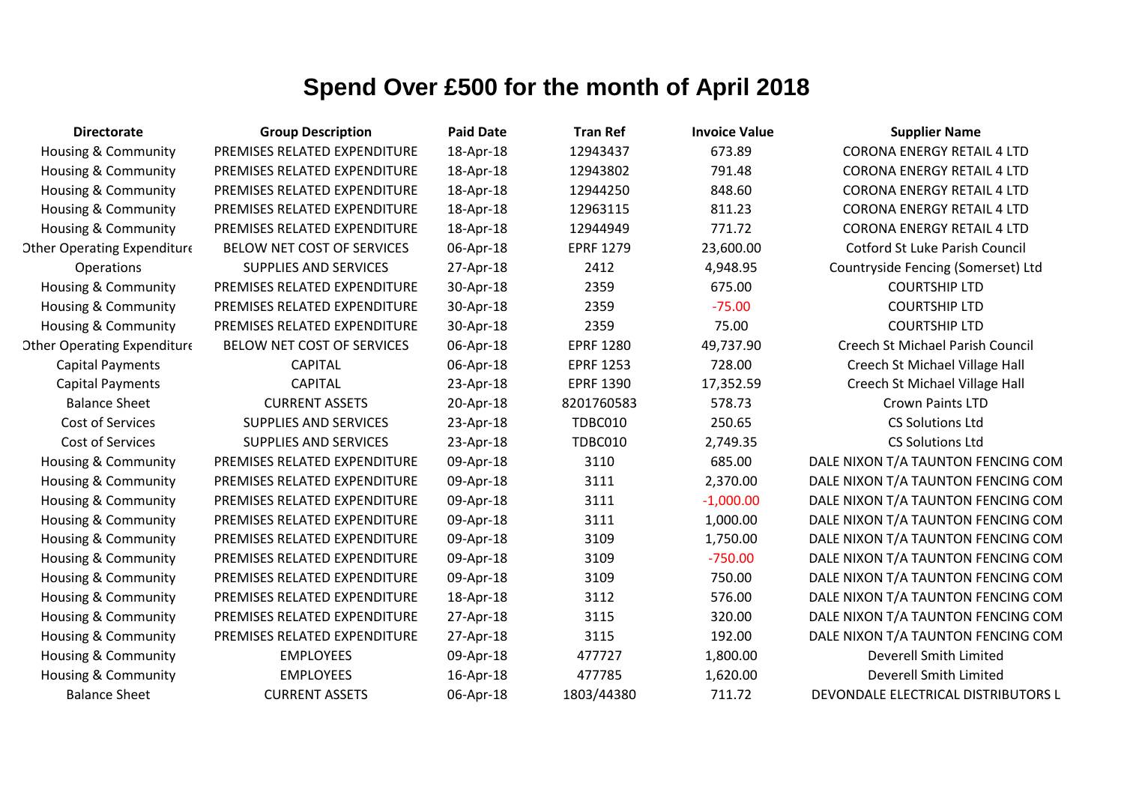| <b>Directorate</b>                 | <b>Group Description</b>     | <b>Paid Date</b> | <b>Tran Ref</b>  | <b>Invoice Value</b> | <b>Supplier Name</b>                    |
|------------------------------------|------------------------------|------------------|------------------|----------------------|-----------------------------------------|
| Housing & Community                | PREMISES RELATED EXPENDITURE | 18-Apr-18        | 12943437         | 673.89               | <b>CORONA ENERGY RETAIL 4 LTD</b>       |
| Housing & Community                | PREMISES RELATED EXPENDITURE | 18-Apr-18        | 12943802         | 791.48               | <b>CORONA ENERGY RETAIL 4 LTD</b>       |
| Housing & Community                | PREMISES RELATED EXPENDITURE | 18-Apr-18        | 12944250         | 848.60               | <b>CORONA ENERGY RETAIL 4 LTD</b>       |
| Housing & Community                | PREMISES RELATED EXPENDITURE | 18-Apr-18        | 12963115         | 811.23               | <b>CORONA ENERGY RETAIL 4 LTD</b>       |
| Housing & Community                | PREMISES RELATED EXPENDITURE | 18-Apr-18        | 12944949         | 771.72               | <b>CORONA ENERGY RETAIL 4 LTD</b>       |
| <b>Other Operating Expenditure</b> | BELOW NET COST OF SERVICES   | 06-Apr-18        | <b>EPRF 1279</b> | 23,600.00            | Cotford St Luke Parish Council          |
| Operations                         | <b>SUPPLIES AND SERVICES</b> | 27-Apr-18        | 2412             | 4,948.95             | Countryside Fencing (Somerset) Ltd      |
| <b>Housing &amp; Community</b>     | PREMISES RELATED EXPENDITURE | 30-Apr-18        | 2359             | 675.00               | <b>COURTSHIP LTD</b>                    |
| Housing & Community                | PREMISES RELATED EXPENDITURE | 30-Apr-18        | 2359             | $-75.00$             | <b>COURTSHIP LTD</b>                    |
| <b>Housing &amp; Community</b>     | PREMISES RELATED EXPENDITURE | 30-Apr-18        | 2359             | 75.00                | <b>COURTSHIP LTD</b>                    |
| <b>Other Operating Expenditure</b> | BELOW NET COST OF SERVICES   | 06-Apr-18        | <b>EPRF 1280</b> | 49,737.90            | <b>Creech St Michael Parish Council</b> |
| <b>Capital Payments</b>            | <b>CAPITAL</b>               | 06-Apr-18        | <b>EPRF 1253</b> | 728.00               | Creech St Michael Village Hall          |
| <b>Capital Payments</b>            | <b>CAPITAL</b>               | 23-Apr-18        | <b>EPRF 1390</b> | 17,352.59            | Creech St Michael Village Hall          |
| <b>Balance Sheet</b>               | <b>CURRENT ASSETS</b>        | 20-Apr-18        | 8201760583       | 578.73               | <b>Crown Paints LTD</b>                 |
| Cost of Services                   | SUPPLIES AND SERVICES        | 23-Apr-18        | TDBC010          | 250.65               | <b>CS Solutions Ltd</b>                 |
| Cost of Services                   | <b>SUPPLIES AND SERVICES</b> | 23-Apr-18        | <b>TDBC010</b>   | 2,749.35             | <b>CS Solutions Ltd</b>                 |
| Housing & Community                | PREMISES RELATED EXPENDITURE | 09-Apr-18        | 3110             | 685.00               | DALE NIXON T/A TAUNTON FENCING COM      |
| <b>Housing &amp; Community</b>     | PREMISES RELATED EXPENDITURE | 09-Apr-18        | 3111             | 2,370.00             | DALE NIXON T/A TAUNTON FENCING COM      |
| Housing & Community                | PREMISES RELATED EXPENDITURE | 09-Apr-18        | 3111             | $-1,000.00$          | DALE NIXON T/A TAUNTON FENCING COM      |
| <b>Housing &amp; Community</b>     | PREMISES RELATED EXPENDITURE | 09-Apr-18        | 3111             | 1,000.00             | DALE NIXON T/A TAUNTON FENCING COM      |
| <b>Housing &amp; Community</b>     | PREMISES RELATED EXPENDITURE | 09-Apr-18        | 3109             | 1,750.00             | DALE NIXON T/A TAUNTON FENCING COM      |
| <b>Housing &amp; Community</b>     | PREMISES RELATED EXPENDITURE | 09-Apr-18        | 3109             | $-750.00$            | DALE NIXON T/A TAUNTON FENCING COM      |
| <b>Housing &amp; Community</b>     | PREMISES RELATED EXPENDITURE | 09-Apr-18        | 3109             | 750.00               | DALE NIXON T/A TAUNTON FENCING COM      |
| Housing & Community                | PREMISES RELATED EXPENDITURE | 18-Apr-18        | 3112             | 576.00               | DALE NIXON T/A TAUNTON FENCING COM      |
| Housing & Community                | PREMISES RELATED EXPENDITURE | 27-Apr-18        | 3115             | 320.00               | DALE NIXON T/A TAUNTON FENCING COM      |
| Housing & Community                | PREMISES RELATED EXPENDITURE | 27-Apr-18        | 3115             | 192.00               | DALE NIXON T/A TAUNTON FENCING COM      |
| Housing & Community                | <b>EMPLOYEES</b>             | 09-Apr-18        | 477727           | 1,800.00             | Deverell Smith Limited                  |
| <b>Housing &amp; Community</b>     | <b>EMPLOYEES</b>             | 16-Apr-18        | 477785           | 1,620.00             | Deverell Smith Limited                  |
| <b>Balance Sheet</b>               | <b>CURRENT ASSETS</b>        | 06-Apr-18        | 1803/44380       | 711.72               | DEVONDALE ELECTRICAL DISTRIBUTORS L     |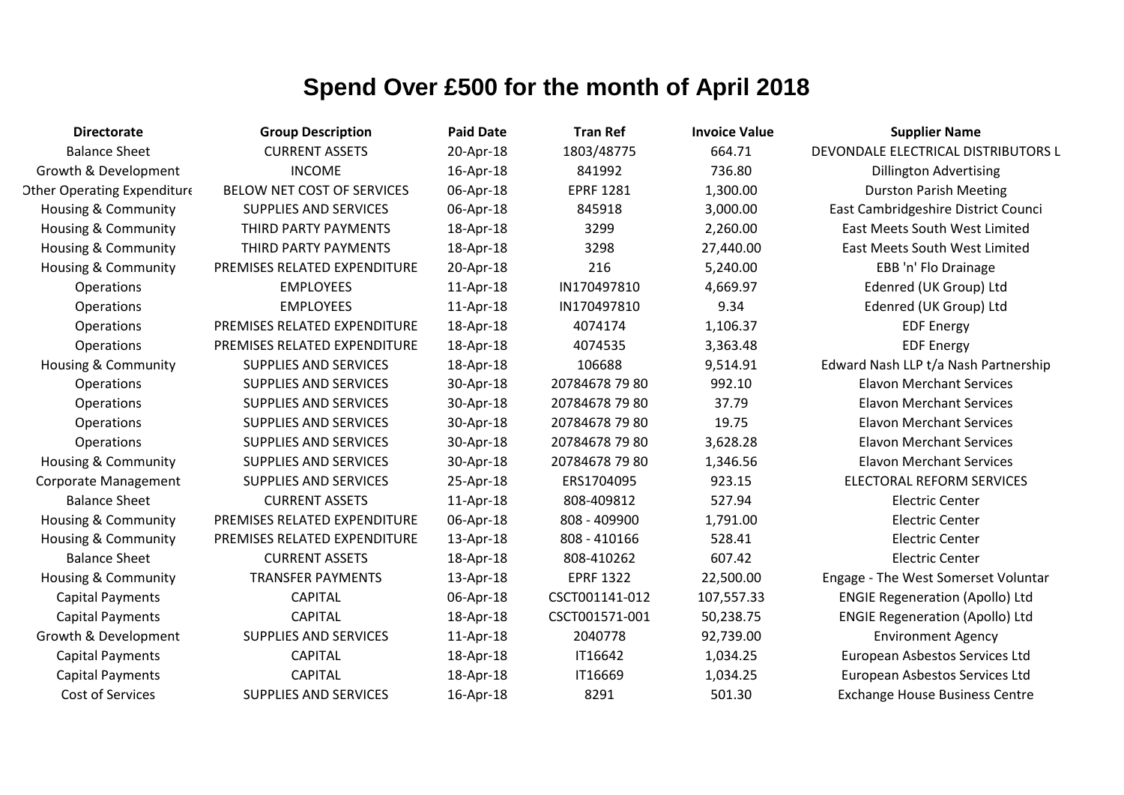| <b>Directorate</b>                 | <b>Group Description</b>     | <b>Paid Date</b> | <b>Tran Ref</b>  | <b>Invoice Value</b> | <b>Supplier Name</b>                   |
|------------------------------------|------------------------------|------------------|------------------|----------------------|----------------------------------------|
| <b>Balance Sheet</b>               | <b>CURRENT ASSETS</b>        | 20-Apr-18        | 1803/48775       | 664.71               | DEVONDALE ELECTRICAL DISTRIBUTORS L    |
| Growth & Development               | <b>INCOME</b>                | 16-Apr-18        | 841992           | 736.80               | <b>Dillington Advertising</b>          |
| <b>Other Operating Expenditure</b> | BELOW NET COST OF SERVICES   | 06-Apr-18        | <b>EPRF 1281</b> | 1,300.00             | <b>Durston Parish Meeting</b>          |
| Housing & Community                | <b>SUPPLIES AND SERVICES</b> | 06-Apr-18        | 845918           | 3,000.00             | East Cambridgeshire District Counci    |
| Housing & Community                | THIRD PARTY PAYMENTS         | 18-Apr-18        | 3299             | 2,260.00             | East Meets South West Limited          |
| Housing & Community                | THIRD PARTY PAYMENTS         | 18-Apr-18        | 3298             | 27,440.00            | <b>East Meets South West Limited</b>   |
| Housing & Community                | PREMISES RELATED EXPENDITURE | 20-Apr-18        | 216              | 5,240.00             | EBB 'n' Flo Drainage                   |
| <b>Operations</b>                  | <b>EMPLOYEES</b>             | 11-Apr-18        | IN170497810      | 4,669.97             | Edenred (UK Group) Ltd                 |
| Operations                         | <b>EMPLOYEES</b>             | 11-Apr-18        | IN170497810      | 9.34                 | Edenred (UK Group) Ltd                 |
| Operations                         | PREMISES RELATED EXPENDITURE | 18-Apr-18        | 4074174          | 1,106.37             | <b>EDF Energy</b>                      |
| Operations                         | PREMISES RELATED EXPENDITURE | 18-Apr-18        | 4074535          | 3,363.48             | <b>EDF Energy</b>                      |
| <b>Housing &amp; Community</b>     | <b>SUPPLIES AND SERVICES</b> | 18-Apr-18        | 106688           | 9,514.91             | Edward Nash LLP t/a Nash Partnership   |
| Operations                         | <b>SUPPLIES AND SERVICES</b> | 30-Apr-18        | 20784678 79 80   | 992.10               | <b>Elavon Merchant Services</b>        |
| Operations                         | <b>SUPPLIES AND SERVICES</b> | 30-Apr-18        | 20784678 79 80   | 37.79                | <b>Elavon Merchant Services</b>        |
| Operations                         | <b>SUPPLIES AND SERVICES</b> | 30-Apr-18        | 20784678 79 80   | 19.75                | <b>Elavon Merchant Services</b>        |
| Operations                         | <b>SUPPLIES AND SERVICES</b> | 30-Apr-18        | 20784678 79 80   | 3,628.28             | <b>Elavon Merchant Services</b>        |
| Housing & Community                | <b>SUPPLIES AND SERVICES</b> | 30-Apr-18        | 20784678 79 80   | 1,346.56             | <b>Elavon Merchant Services</b>        |
| <b>Corporate Management</b>        | <b>SUPPLIES AND SERVICES</b> | 25-Apr-18        | ERS1704095       | 923.15               | <b>ELECTORAL REFORM SERVICES</b>       |
| <b>Balance Sheet</b>               | <b>CURRENT ASSETS</b>        | 11-Apr-18        | 808-409812       | 527.94               | <b>Electric Center</b>                 |
| Housing & Community                | PREMISES RELATED EXPENDITURE | 06-Apr-18        | 808 - 409900     | 1,791.00             | <b>Electric Center</b>                 |
| Housing & Community                | PREMISES RELATED EXPENDITURE | 13-Apr-18        | 808 - 410166     | 528.41               | <b>Electric Center</b>                 |
| <b>Balance Sheet</b>               | <b>CURRENT ASSETS</b>        | 18-Apr-18        | 808-410262       | 607.42               | <b>Electric Center</b>                 |
| Housing & Community                | <b>TRANSFER PAYMENTS</b>     | 13-Apr-18        | <b>EPRF 1322</b> | 22,500.00            | Engage - The West Somerset Voluntar    |
| <b>Capital Payments</b>            | <b>CAPITAL</b>               | 06-Apr-18        | CSCT001141-012   | 107,557.33           | <b>ENGIE Regeneration (Apollo) Ltd</b> |
| <b>Capital Payments</b>            | <b>CAPITAL</b>               | 18-Apr-18        | CSCT001571-001   | 50,238.75            | <b>ENGIE Regeneration (Apollo) Ltd</b> |
| Growth & Development               | <b>SUPPLIES AND SERVICES</b> | 11-Apr-18        | 2040778          | 92,739.00            | <b>Environment Agency</b>              |
| <b>Capital Payments</b>            | <b>CAPITAL</b>               | 18-Apr-18        | IT16642          | 1,034.25             | European Asbestos Services Ltd         |
| <b>Capital Payments</b>            | <b>CAPITAL</b>               | 18-Apr-18        | IT16669          | 1,034.25             | European Asbestos Services Ltd         |
| Cost of Services                   | <b>SUPPLIES AND SERVICES</b> | 16-Apr-18        | 8291             | 501.30               | <b>Exchange House Business Centre</b>  |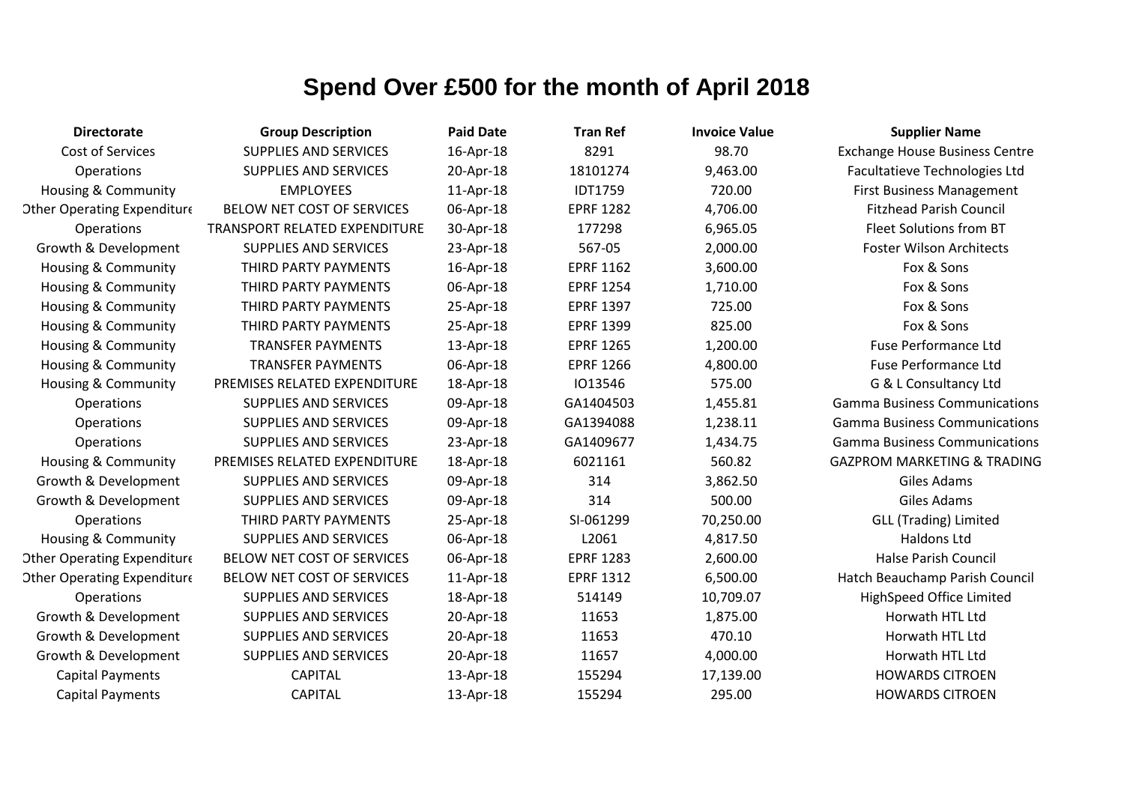| <b>Directorate</b>                 | <b>Group Description</b>      | <b>Paid Date</b> | <b>Tran Ref</b>  | <b>Invoice Value</b> | <b>Supplier Name</b>                   |
|------------------------------------|-------------------------------|------------------|------------------|----------------------|----------------------------------------|
| Cost of Services                   | <b>SUPPLIES AND SERVICES</b>  | 16-Apr-18        | 8291             | 98.70                | <b>Exchange House Business Centre</b>  |
| <b>Operations</b>                  | <b>SUPPLIES AND SERVICES</b>  | 20-Apr-18        | 18101274         | 9,463.00             | Facultatieve Technologies Ltd          |
| <b>Housing &amp; Community</b>     | <b>EMPLOYEES</b>              | 11-Apr-18        | <b>IDT1759</b>   | 720.00               | <b>First Business Management</b>       |
| <b>Other Operating Expenditure</b> | BELOW NET COST OF SERVICES    | 06-Apr-18        | <b>EPRF 1282</b> | 4,706.00             | <b>Fitzhead Parish Council</b>         |
| <b>Operations</b>                  | TRANSPORT RELATED EXPENDITURE | 30-Apr-18        | 177298           | 6,965.05             | Fleet Solutions from BT                |
| Growth & Development               | <b>SUPPLIES AND SERVICES</b>  | 23-Apr-18        | 567-05           | 2,000.00             | <b>Foster Wilson Architects</b>        |
| <b>Housing &amp; Community</b>     | THIRD PARTY PAYMENTS          | 16-Apr-18        | <b>EPRF 1162</b> | 3,600.00             | Fox & Sons                             |
| Housing & Community                | THIRD PARTY PAYMENTS          | 06-Apr-18        | <b>EPRF 1254</b> | 1,710.00             | Fox & Sons                             |
| <b>Housing &amp; Community</b>     | THIRD PARTY PAYMENTS          | 25-Apr-18        | <b>EPRF 1397</b> | 725.00               | Fox & Sons                             |
| <b>Housing &amp; Community</b>     | THIRD PARTY PAYMENTS          | 25-Apr-18        | <b>EPRF 1399</b> | 825.00               | Fox & Sons                             |
| Housing & Community                | <b>TRANSFER PAYMENTS</b>      | 13-Apr-18        | <b>EPRF 1265</b> | 1,200.00             | Fuse Performance Ltd                   |
| <b>Housing &amp; Community</b>     | <b>TRANSFER PAYMENTS</b>      | 06-Apr-18        | <b>EPRF 1266</b> | 4,800.00             | Fuse Performance Ltd                   |
| <b>Housing &amp; Community</b>     | PREMISES RELATED EXPENDITURE  | 18-Apr-18        | 1013546          | 575.00               | G & L Consultancy Ltd                  |
| <b>Operations</b>                  | <b>SUPPLIES AND SERVICES</b>  | 09-Apr-18        | GA1404503        | 1,455.81             | <b>Gamma Business Communications</b>   |
| Operations                         | <b>SUPPLIES AND SERVICES</b>  | 09-Apr-18        | GA1394088        | 1,238.11             | <b>Gamma Business Communications</b>   |
| <b>Operations</b>                  | <b>SUPPLIES AND SERVICES</b>  | 23-Apr-18        | GA1409677        | 1,434.75             | <b>Gamma Business Communications</b>   |
| Housing & Community                | PREMISES RELATED EXPENDITURE  | 18-Apr-18        | 6021161          | 560.82               | <b>GAZPROM MARKETING &amp; TRADING</b> |
| Growth & Development               | <b>SUPPLIES AND SERVICES</b>  | 09-Apr-18        | 314              | 3,862.50             | Giles Adams                            |
| Growth & Development               | <b>SUPPLIES AND SERVICES</b>  | 09-Apr-18        | 314              | 500.00               | Giles Adams                            |
| Operations                         | THIRD PARTY PAYMENTS          | 25-Apr-18        | SI-061299        | 70,250.00            | <b>GLL (Trading) Limited</b>           |
| <b>Housing &amp; Community</b>     | <b>SUPPLIES AND SERVICES</b>  | 06-Apr-18        | L2061            | 4,817.50             | <b>Haldons Ltd</b>                     |
| <b>Other Operating Expenditure</b> | BELOW NET COST OF SERVICES    | 06-Apr-18        | <b>EPRF 1283</b> | 2,600.00             | <b>Halse Parish Council</b>            |
| <b>Other Operating Expenditure</b> | BELOW NET COST OF SERVICES    | 11-Apr-18        | <b>EPRF 1312</b> | 6,500.00             | Hatch Beauchamp Parish Council         |
| <b>Operations</b>                  | <b>SUPPLIES AND SERVICES</b>  | 18-Apr-18        | 514149           | 10,709.07            | HighSpeed Office Limited               |
| Growth & Development               | <b>SUPPLIES AND SERVICES</b>  | 20-Apr-18        | 11653            | 1,875.00             | Horwath HTL Ltd                        |
| Growth & Development               | <b>SUPPLIES AND SERVICES</b>  | 20-Apr-18        | 11653            | 470.10               | Horwath HTL Ltd                        |
| Growth & Development               | <b>SUPPLIES AND SERVICES</b>  | 20-Apr-18        | 11657            | 4,000.00             | Horwath HTL Ltd                        |
| <b>Capital Payments</b>            | <b>CAPITAL</b>                | 13-Apr-18        | 155294           | 17,139.00            | <b>HOWARDS CITROEN</b>                 |
| <b>Capital Payments</b>            | <b>CAPITAL</b>                | 13-Apr-18        | 155294           | 295.00               | <b>HOWARDS CITROEN</b>                 |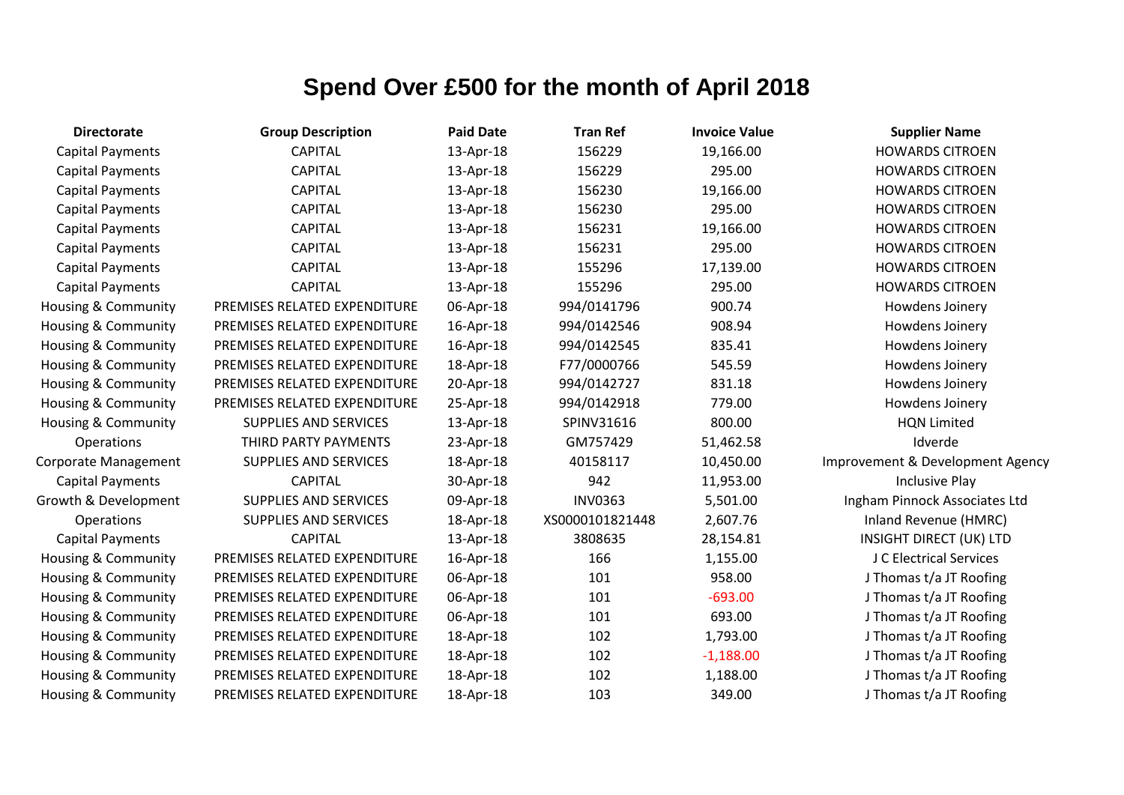| <b>Directorate</b>             | <b>Group Description</b>     | <b>Paid Date</b> | <b>Tran Ref</b> | <b>Invoice Value</b> | <b>Supplier Name</b>             |
|--------------------------------|------------------------------|------------------|-----------------|----------------------|----------------------------------|
| <b>Capital Payments</b>        | <b>CAPITAL</b>               | 13-Apr-18        | 156229          | 19,166.00            | <b>HOWARDS CITROEN</b>           |
| <b>Capital Payments</b>        | <b>CAPITAL</b>               | 13-Apr-18        | 156229          | 295.00               | <b>HOWARDS CITROEN</b>           |
| <b>Capital Payments</b>        | <b>CAPITAL</b>               | 13-Apr-18        | 156230          | 19,166.00            | <b>HOWARDS CITROEN</b>           |
| <b>Capital Payments</b>        | <b>CAPITAL</b>               | 13-Apr-18        | 156230          | 295.00               | <b>HOWARDS CITROEN</b>           |
| <b>Capital Payments</b>        | <b>CAPITAL</b>               | 13-Apr-18        | 156231          | 19,166.00            | <b>HOWARDS CITROEN</b>           |
| <b>Capital Payments</b>        | <b>CAPITAL</b>               | 13-Apr-18        | 156231          | 295.00               | <b>HOWARDS CITROEN</b>           |
| <b>Capital Payments</b>        | <b>CAPITAL</b>               | 13-Apr-18        | 155296          | 17,139.00            | <b>HOWARDS CITROEN</b>           |
| <b>Capital Payments</b>        | <b>CAPITAL</b>               | 13-Apr-18        | 155296          | 295.00               | <b>HOWARDS CITROEN</b>           |
| <b>Housing &amp; Community</b> | PREMISES RELATED EXPENDITURE | 06-Apr-18        | 994/0141796     | 900.74               | Howdens Joinery                  |
| <b>Housing &amp; Community</b> | PREMISES RELATED EXPENDITURE | 16-Apr-18        | 994/0142546     | 908.94               | Howdens Joinery                  |
| Housing & Community            | PREMISES RELATED EXPENDITURE | 16-Apr-18        | 994/0142545     | 835.41               | Howdens Joinery                  |
| <b>Housing &amp; Community</b> | PREMISES RELATED EXPENDITURE | 18-Apr-18        | F77/0000766     | 545.59               | Howdens Joinery                  |
| <b>Housing &amp; Community</b> | PREMISES RELATED EXPENDITURE | 20-Apr-18        | 994/0142727     | 831.18               | Howdens Joinery                  |
| <b>Housing &amp; Community</b> | PREMISES RELATED EXPENDITURE | 25-Apr-18        | 994/0142918     | 779.00               | Howdens Joinery                  |
| Housing & Community            | <b>SUPPLIES AND SERVICES</b> | 13-Apr-18        | SPINV31616      | 800.00               | <b>HQN Limited</b>               |
| Operations                     | THIRD PARTY PAYMENTS         | 23-Apr-18        | GM757429        | 51,462.58            | Idverde                          |
| <b>Corporate Management</b>    | <b>SUPPLIES AND SERVICES</b> | 18-Apr-18        | 40158117        | 10,450.00            | Improvement & Development Agency |
| <b>Capital Payments</b>        | <b>CAPITAL</b>               | 30-Apr-18        | 942             | 11,953.00            | <b>Inclusive Play</b>            |
| Growth & Development           | <b>SUPPLIES AND SERVICES</b> | 09-Apr-18        | <b>INV0363</b>  | 5,501.00             | Ingham Pinnock Associates Ltd    |
| Operations                     | <b>SUPPLIES AND SERVICES</b> | 18-Apr-18        | XS0000101821448 | 2,607.76             | Inland Revenue (HMRC)            |
| <b>Capital Payments</b>        | <b>CAPITAL</b>               | 13-Apr-18        | 3808635         | 28,154.81            | <b>INSIGHT DIRECT (UK) LTD</b>   |
| <b>Housing &amp; Community</b> | PREMISES RELATED EXPENDITURE | 16-Apr-18        | 166             | 1,155.00             | J C Electrical Services          |
| Housing & Community            | PREMISES RELATED EXPENDITURE | 06-Apr-18        | 101             | 958.00               | J Thomas t/a JT Roofing          |
| Housing & Community            | PREMISES RELATED EXPENDITURE | 06-Apr-18        | 101             | $-693.00$            | J Thomas t/a JT Roofing          |
| <b>Housing &amp; Community</b> | PREMISES RELATED EXPENDITURE | 06-Apr-18        | 101             | 693.00               | J Thomas t/a JT Roofing          |
| Housing & Community            | PREMISES RELATED EXPENDITURE | 18-Apr-18        | 102             | 1,793.00             | J Thomas t/a JT Roofing          |
| Housing & Community            | PREMISES RELATED EXPENDITURE | 18-Apr-18        | 102             | $-1,188.00$          | J Thomas t/a JT Roofing          |
| Housing & Community            | PREMISES RELATED EXPENDITURE | 18-Apr-18        | 102             | 1,188.00             | J Thomas t/a JT Roofing          |
| Housing & Community            | PREMISES RELATED EXPENDITURE | 18-Apr-18        | 103             | 349.00               | J Thomas t/a JT Roofing          |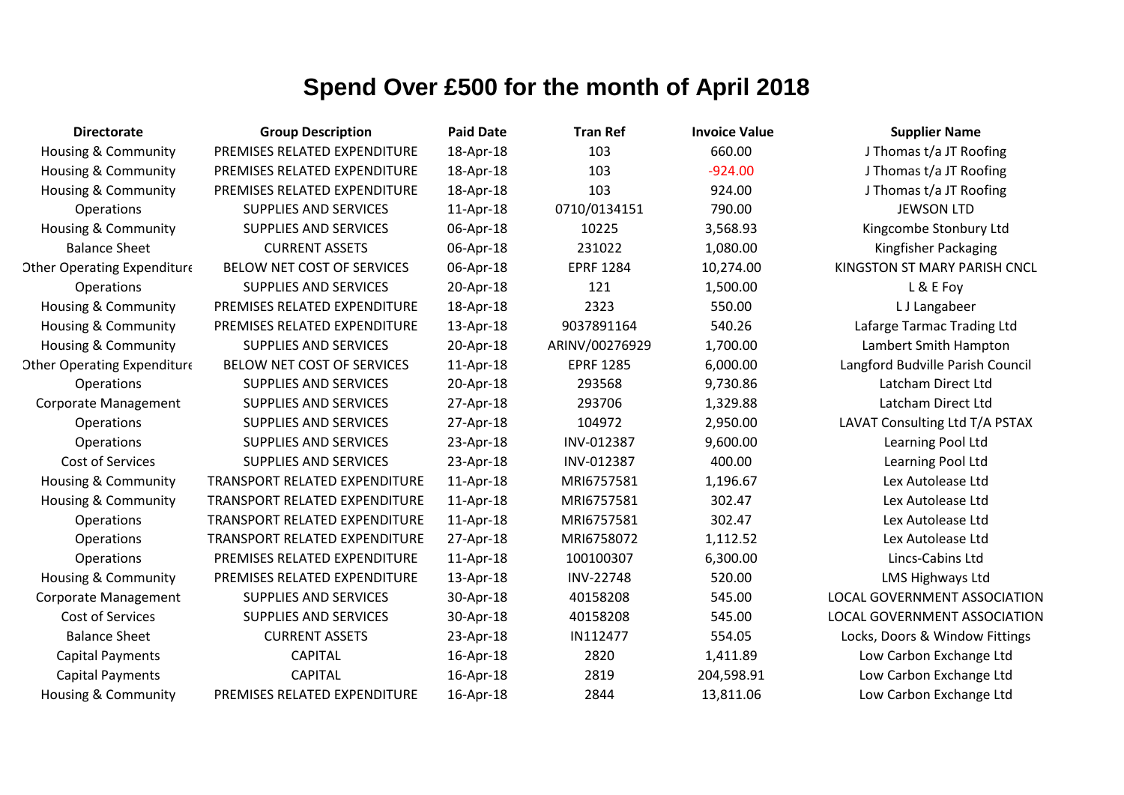| <b>Directorate</b>                 | <b>Group Description</b>      | <b>Paid Date</b> | <b>Tran Ref</b>  | <b>Invoice Value</b> | <b>Supplier Name</b>             |
|------------------------------------|-------------------------------|------------------|------------------|----------------------|----------------------------------|
| <b>Housing &amp; Community</b>     | PREMISES RELATED EXPENDITURE  | 18-Apr-18        | 103              | 660.00               | J Thomas t/a JT Roofing          |
| <b>Housing &amp; Community</b>     | PREMISES RELATED EXPENDITURE  | 18-Apr-18        | 103              | $-924.00$            | J Thomas t/a JT Roofing          |
| Housing & Community                | PREMISES RELATED EXPENDITURE  | 18-Apr-18        | 103              | 924.00               | J Thomas t/a JT Roofing          |
| Operations                         | <b>SUPPLIES AND SERVICES</b>  | 11-Apr-18        | 0710/0134151     | 790.00               | <b>JEWSON LTD</b>                |
| Housing & Community                | <b>SUPPLIES AND SERVICES</b>  | 06-Apr-18        | 10225            | 3,568.93             | Kingcombe Stonbury Ltd           |
| <b>Balance Sheet</b>               | <b>CURRENT ASSETS</b>         | 06-Apr-18        | 231022           | 1,080.00             | Kingfisher Packaging             |
| <b>Other Operating Expenditure</b> | BELOW NET COST OF SERVICES    | 06-Apr-18        | <b>EPRF 1284</b> | 10,274.00            | KINGSTON ST MARY PARISH CNCL     |
| Operations                         | <b>SUPPLIES AND SERVICES</b>  | 20-Apr-18        | 121              | 1,500.00             | L & E Foy                        |
| Housing & Community                | PREMISES RELATED EXPENDITURE  | 18-Apr-18        | 2323             | 550.00               | L J Langabeer                    |
| Housing & Community                | PREMISES RELATED EXPENDITURE  | 13-Apr-18        | 9037891164       | 540.26               | Lafarge Tarmac Trading Ltd       |
| Housing & Community                | <b>SUPPLIES AND SERVICES</b>  | 20-Apr-18        | ARINV/00276929   | 1,700.00             | Lambert Smith Hampton            |
| <b>Other Operating Expenditure</b> | BELOW NET COST OF SERVICES    | 11-Apr-18        | <b>EPRF 1285</b> | 6,000.00             | Langford Budville Parish Council |
| <b>Operations</b>                  | <b>SUPPLIES AND SERVICES</b>  | 20-Apr-18        | 293568           | 9,730.86             | Latcham Direct Ltd               |
| <b>Corporate Management</b>        | <b>SUPPLIES AND SERVICES</b>  | 27-Apr-18        | 293706           | 1,329.88             | Latcham Direct Ltd               |
| <b>Operations</b>                  | <b>SUPPLIES AND SERVICES</b>  | 27-Apr-18        | 104972           | 2,950.00             | LAVAT Consulting Ltd T/A PSTAX   |
| Operations                         | <b>SUPPLIES AND SERVICES</b>  | 23-Apr-18        | INV-012387       | 9,600.00             | Learning Pool Ltd                |
| Cost of Services                   | <b>SUPPLIES AND SERVICES</b>  | 23-Apr-18        | INV-012387       | 400.00               | Learning Pool Ltd                |
| <b>Housing &amp; Community</b>     | TRANSPORT RELATED EXPENDITURE | 11-Apr-18        | MRI6757581       | 1,196.67             | Lex Autolease Ltd                |
| Housing & Community                | TRANSPORT RELATED EXPENDITURE | 11-Apr-18        | MRI6757581       | 302.47               | Lex Autolease Ltd                |
| Operations                         | TRANSPORT RELATED EXPENDITURE | 11-Apr-18        | MRI6757581       | 302.47               | Lex Autolease Ltd                |
| Operations                         | TRANSPORT RELATED EXPENDITURE | 27-Apr-18        | MRI6758072       | 1,112.52             | Lex Autolease Ltd                |
| Operations                         | PREMISES RELATED EXPENDITURE  | 11-Apr-18        | 100100307        | 6,300.00             | Lincs-Cabins Ltd                 |
| Housing & Community                | PREMISES RELATED EXPENDITURE  | 13-Apr-18        | <b>INV-22748</b> | 520.00               | <b>LMS Highways Ltd</b>          |
| <b>Corporate Management</b>        | <b>SUPPLIES AND SERVICES</b>  | 30-Apr-18        | 40158208         | 545.00               | LOCAL GOVERNMENT ASSOCIATION     |
| Cost of Services                   | <b>SUPPLIES AND SERVICES</b>  | 30-Apr-18        | 40158208         | 545.00               | LOCAL GOVERNMENT ASSOCIATION     |
| <b>Balance Sheet</b>               | <b>CURRENT ASSETS</b>         | 23-Apr-18        | IN112477         | 554.05               | Locks, Doors & Window Fittings   |
| <b>Capital Payments</b>            | <b>CAPITAL</b>                | 16-Apr-18        | 2820             | 1,411.89             | Low Carbon Exchange Ltd          |
| <b>Capital Payments</b>            | <b>CAPITAL</b>                | 16-Apr-18        | 2819             | 204,598.91           | Low Carbon Exchange Ltd          |
| Housing & Community                | PREMISES RELATED EXPENDITURE  | 16-Apr-18        | 2844             | 13,811.06            | Low Carbon Exchange Ltd          |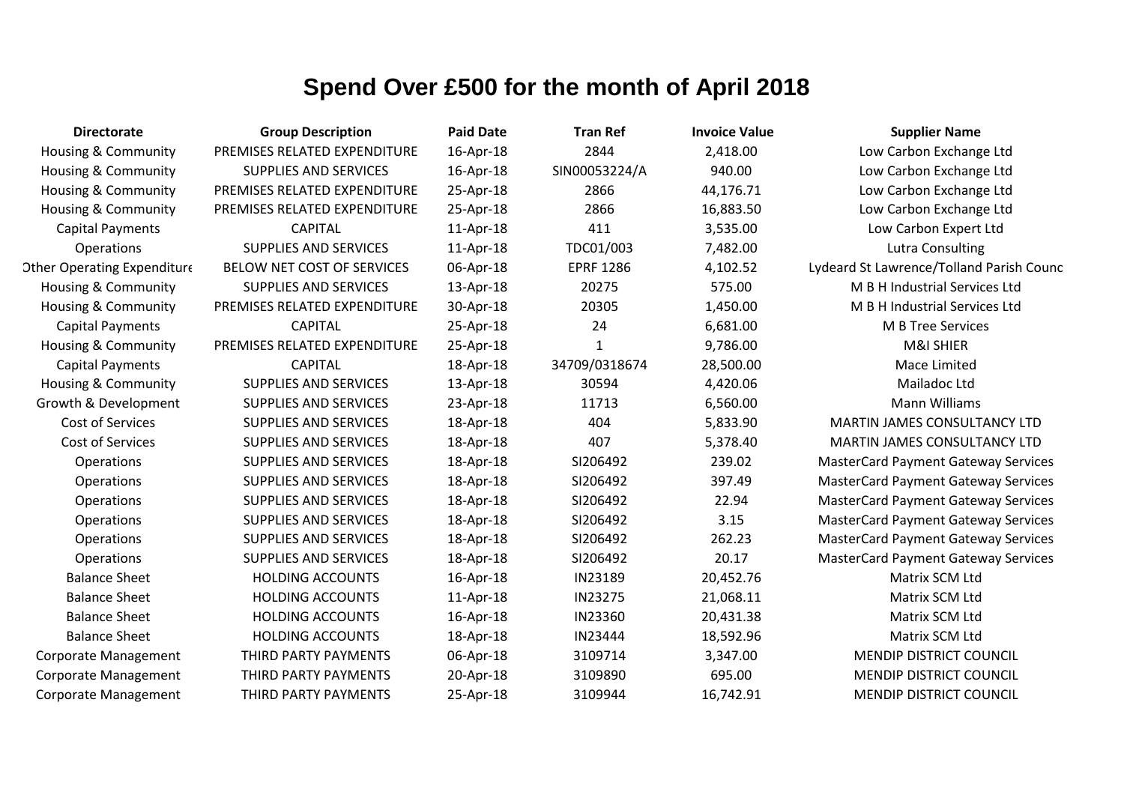| <b>Directorate</b>                 | <b>Group Description</b>     | <b>Paid Date</b> | <b>Tran Ref</b>  | <b>Invoice Value</b> | <b>Supplier Name</b>                       |
|------------------------------------|------------------------------|------------------|------------------|----------------------|--------------------------------------------|
| Housing & Community                | PREMISES RELATED EXPENDITURE | 16-Apr-18        | 2844             | 2,418.00             | Low Carbon Exchange Ltd                    |
| <b>Housing &amp; Community</b>     | <b>SUPPLIES AND SERVICES</b> | 16-Apr-18        | SIN00053224/A    | 940.00               | Low Carbon Exchange Ltd                    |
| <b>Housing &amp; Community</b>     | PREMISES RELATED EXPENDITURE | 25-Apr-18        | 2866             | 44,176.71            | Low Carbon Exchange Ltd                    |
| Housing & Community                | PREMISES RELATED EXPENDITURE | 25-Apr-18        | 2866             | 16,883.50            | Low Carbon Exchange Ltd                    |
| <b>Capital Payments</b>            | <b>CAPITAL</b>               | 11-Apr-18        | 411              | 3,535.00             | Low Carbon Expert Ltd                      |
| Operations                         | <b>SUPPLIES AND SERVICES</b> | 11-Apr-18        | TDC01/003        | 7,482.00             | <b>Lutra Consulting</b>                    |
| <b>Other Operating Expenditure</b> | BELOW NET COST OF SERVICES   | 06-Apr-18        | <b>EPRF 1286</b> | 4,102.52             | Lydeard St Lawrence/Tolland Parish Counc   |
| <b>Housing &amp; Community</b>     | <b>SUPPLIES AND SERVICES</b> | 13-Apr-18        | 20275            | 575.00               | M B H Industrial Services Ltd              |
| Housing & Community                | PREMISES RELATED EXPENDITURE | 30-Apr-18        | 20305            | 1,450.00             | M B H Industrial Services Ltd              |
| <b>Capital Payments</b>            | <b>CAPITAL</b>               | 25-Apr-18        | 24               | 6,681.00             | M B Tree Services                          |
| Housing & Community                | PREMISES RELATED EXPENDITURE | 25-Apr-18        | $\mathbf{1}$     | 9,786.00             | M&I SHIER                                  |
| <b>Capital Payments</b>            | <b>CAPITAL</b>               | 18-Apr-18        | 34709/0318674    | 28,500.00            | Mace Limited                               |
| Housing & Community                | <b>SUPPLIES AND SERVICES</b> | 13-Apr-18        | 30594            | 4,420.06             | Mailadoc Ltd                               |
| Growth & Development               | <b>SUPPLIES AND SERVICES</b> | 23-Apr-18        | 11713            | 6,560.00             | <b>Mann Williams</b>                       |
| Cost of Services                   | <b>SUPPLIES AND SERVICES</b> | 18-Apr-18        | 404              | 5,833.90             | MARTIN JAMES CONSULTANCY LTD               |
| Cost of Services                   | <b>SUPPLIES AND SERVICES</b> | 18-Apr-18        | 407              | 5,378.40             | <b>MARTIN JAMES CONSULTANCY LTD</b>        |
| Operations                         | <b>SUPPLIES AND SERVICES</b> | 18-Apr-18        | SI206492         | 239.02               | <b>MasterCard Payment Gateway Services</b> |
| <b>Operations</b>                  | <b>SUPPLIES AND SERVICES</b> | 18-Apr-18        | SI206492         | 397.49               | <b>MasterCard Payment Gateway Services</b> |
| <b>Operations</b>                  | SUPPLIES AND SERVICES        | 18-Apr-18        | SI206492         | 22.94                | <b>MasterCard Payment Gateway Services</b> |
| <b>Operations</b>                  | <b>SUPPLIES AND SERVICES</b> | 18-Apr-18        | SI206492         | 3.15                 | <b>MasterCard Payment Gateway Services</b> |
| Operations                         | <b>SUPPLIES AND SERVICES</b> | 18-Apr-18        | SI206492         | 262.23               | <b>MasterCard Payment Gateway Services</b> |
| Operations                         | <b>SUPPLIES AND SERVICES</b> | 18-Apr-18        | SI206492         | 20.17                | <b>MasterCard Payment Gateway Services</b> |
| <b>Balance Sheet</b>               | <b>HOLDING ACCOUNTS</b>      | 16-Apr-18        | IN23189          | 20,452.76            | Matrix SCM Ltd                             |
| <b>Balance Sheet</b>               | <b>HOLDING ACCOUNTS</b>      | 11-Apr-18        | IN23275          | 21,068.11            | Matrix SCM Ltd                             |
| <b>Balance Sheet</b>               | <b>HOLDING ACCOUNTS</b>      | 16-Apr-18        | IN23360          | 20,431.38            | Matrix SCM Ltd                             |
| <b>Balance Sheet</b>               | <b>HOLDING ACCOUNTS</b>      | 18-Apr-18        | IN23444          | 18,592.96            | Matrix SCM Ltd                             |
| <b>Corporate Management</b>        | THIRD PARTY PAYMENTS         | 06-Apr-18        | 3109714          | 3,347.00             | <b>MENDIP DISTRICT COUNCIL</b>             |
| <b>Corporate Management</b>        | THIRD PARTY PAYMENTS         | 20-Apr-18        | 3109890          | 695.00               | <b>MENDIP DISTRICT COUNCIL</b>             |
| <b>Corporate Management</b>        | THIRD PARTY PAYMENTS         | 25-Apr-18        | 3109944          | 16,742.91            | MENDIP DISTRICT COUNCIL                    |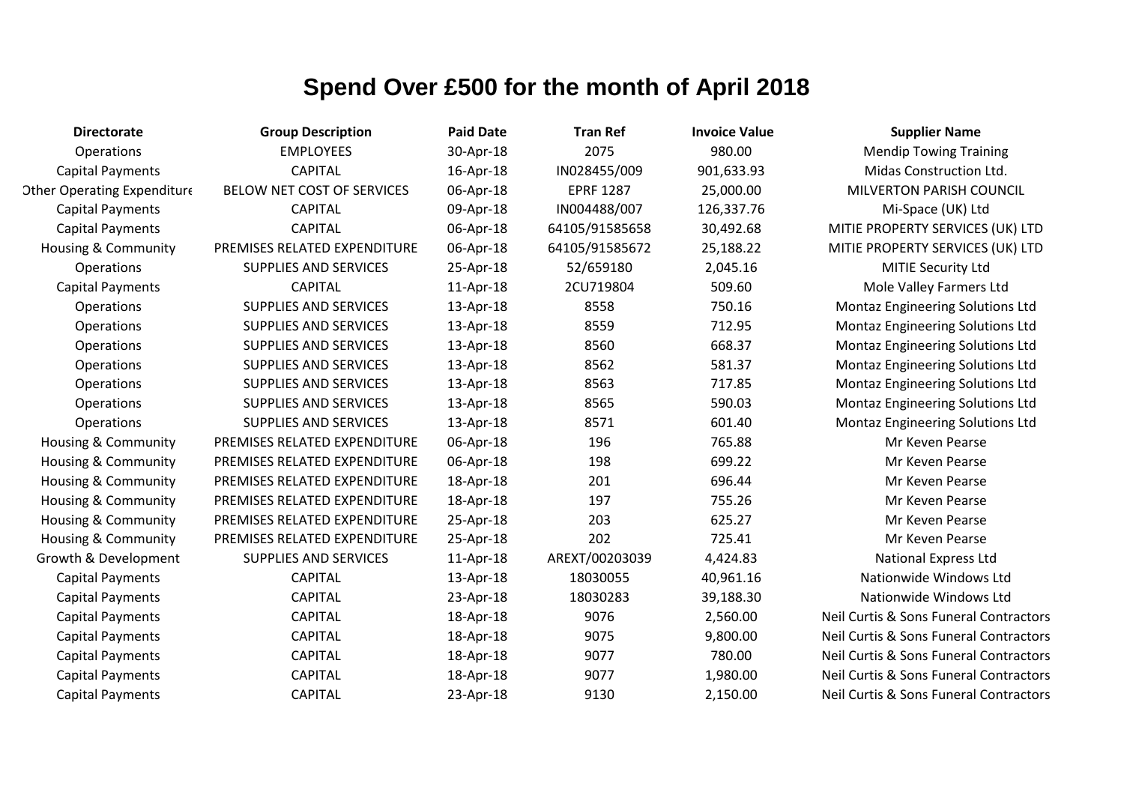| <b>Directorate</b>                 | <b>Group Description</b>     | <b>Paid Date</b> | <b>Tran Ref</b>  | <b>Invoice Value</b> | <b>Supplier Name</b>                    |
|------------------------------------|------------------------------|------------------|------------------|----------------------|-----------------------------------------|
| Operations                         | <b>EMPLOYEES</b>             | 30-Apr-18        | 2075             | 980.00               | <b>Mendip Towing Training</b>           |
| <b>Capital Payments</b>            | <b>CAPITAL</b>               | 16-Apr-18        | IN028455/009     | 901,633.93           | Midas Construction Ltd.                 |
| <b>Other Operating Expenditure</b> | BELOW NET COST OF SERVICES   | 06-Apr-18        | <b>EPRF 1287</b> | 25,000.00            | MILVERTON PARISH COUNCIL                |
| <b>Capital Payments</b>            | <b>CAPITAL</b>               | 09-Apr-18        | IN004488/007     | 126,337.76           | Mi-Space (UK) Ltd                       |
| <b>Capital Payments</b>            | <b>CAPITAL</b>               | 06-Apr-18        | 64105/91585658   | 30,492.68            | MITIE PROPERTY SERVICES (UK) LTD        |
| Housing & Community                | PREMISES RELATED EXPENDITURE | 06-Apr-18        | 64105/91585672   | 25,188.22            | MITIE PROPERTY SERVICES (UK) LTD        |
| <b>Operations</b>                  | SUPPLIES AND SERVICES        | 25-Apr-18        | 52/659180        | 2,045.16             | MITIE Security Ltd                      |
| <b>Capital Payments</b>            | <b>CAPITAL</b>               | 11-Apr-18        | 2CU719804        | 509.60               | Mole Valley Farmers Ltd                 |
| <b>Operations</b>                  | <b>SUPPLIES AND SERVICES</b> | 13-Apr-18        | 8558             | 750.16               | Montaz Engineering Solutions Ltd        |
| Operations                         | <b>SUPPLIES AND SERVICES</b> | 13-Apr-18        | 8559             | 712.95               | <b>Montaz Engineering Solutions Ltd</b> |
| Operations                         | <b>SUPPLIES AND SERVICES</b> | 13-Apr-18        | 8560             | 668.37               | Montaz Engineering Solutions Ltd        |
| Operations                         | <b>SUPPLIES AND SERVICES</b> | 13-Apr-18        | 8562             | 581.37               | Montaz Engineering Solutions Ltd        |
| Operations                         | <b>SUPPLIES AND SERVICES</b> | 13-Apr-18        | 8563             | 717.85               | <b>Montaz Engineering Solutions Ltd</b> |
| <b>Operations</b>                  | <b>SUPPLIES AND SERVICES</b> | 13-Apr-18        | 8565             | 590.03               | Montaz Engineering Solutions Ltd        |
| <b>Operations</b>                  | <b>SUPPLIES AND SERVICES</b> | 13-Apr-18        | 8571             | 601.40               | Montaz Engineering Solutions Ltd        |
| Housing & Community                | PREMISES RELATED EXPENDITURE | 06-Apr-18        | 196              | 765.88               | Mr Keven Pearse                         |
| Housing & Community                | PREMISES RELATED EXPENDITURE | 06-Apr-18        | 198              | 699.22               | Mr Keven Pearse                         |
| Housing & Community                | PREMISES RELATED EXPENDITURE | 18-Apr-18        | 201              | 696.44               | Mr Keven Pearse                         |
| Housing & Community                | PREMISES RELATED EXPENDITURE | 18-Apr-18        | 197              | 755.26               | Mr Keven Pearse                         |
| Housing & Community                | PREMISES RELATED EXPENDITURE | 25-Apr-18        | 203              | 625.27               | Mr Keven Pearse                         |
| Housing & Community                | PREMISES RELATED EXPENDITURE | 25-Apr-18        | 202              | 725.41               | Mr Keven Pearse                         |
| Growth & Development               | SUPPLIES AND SERVICES        | 11-Apr-18        | AREXT/00203039   | 4,424.83             | <b>National Express Ltd</b>             |
| <b>Capital Payments</b>            | <b>CAPITAL</b>               | 13-Apr-18        | 18030055         | 40,961.16            | Nationwide Windows Ltd                  |
| <b>Capital Payments</b>            | <b>CAPITAL</b>               | 23-Apr-18        | 18030283         | 39,188.30            | Nationwide Windows Ltd                  |
| <b>Capital Payments</b>            | <b>CAPITAL</b>               | 18-Apr-18        | 9076             | 2,560.00             | Neil Curtis & Sons Funeral Contractors  |
| <b>Capital Payments</b>            | <b>CAPITAL</b>               | 18-Apr-18        | 9075             | 9,800.00             | Neil Curtis & Sons Funeral Contractors  |
| <b>Capital Payments</b>            | <b>CAPITAL</b>               | 18-Apr-18        | 9077             | 780.00               | Neil Curtis & Sons Funeral Contractors  |
| <b>Capital Payments</b>            | <b>CAPITAL</b>               | 18-Apr-18        | 9077             | 1,980.00             | Neil Curtis & Sons Funeral Contractors  |
| <b>Capital Payments</b>            | <b>CAPITAL</b>               | 23-Apr-18        | 9130             | 2,150.00             | Neil Curtis & Sons Funeral Contractors  |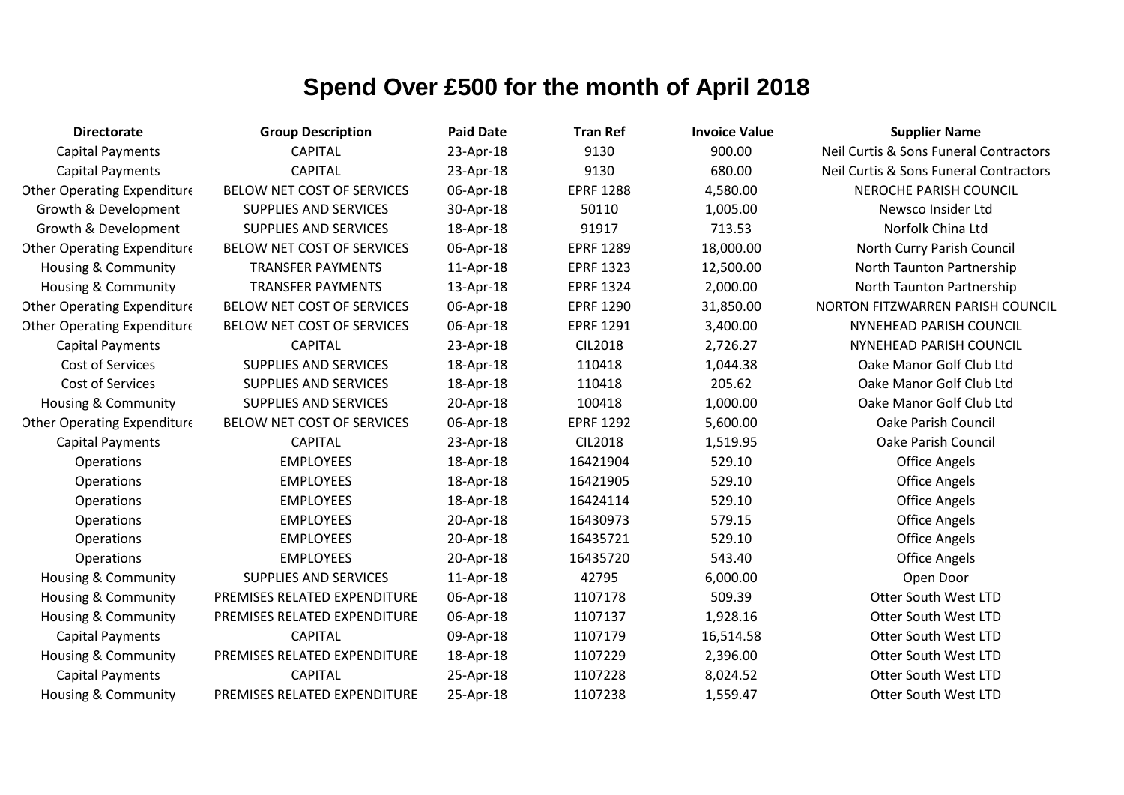| <b>Directorate</b>                 | <b>Group Description</b>     | <b>Paid Date</b> | <b>Tran Ref</b>  | <b>Invoice Value</b> | <b>Supplier Name</b>                   |
|------------------------------------|------------------------------|------------------|------------------|----------------------|----------------------------------------|
| <b>Capital Payments</b>            | <b>CAPITAL</b>               | 23-Apr-18        | 9130             | 900.00               | Neil Curtis & Sons Funeral Contractors |
| <b>Capital Payments</b>            | <b>CAPITAL</b>               | 23-Apr-18        | 9130             | 680.00               | Neil Curtis & Sons Funeral Contractors |
| <b>Other Operating Expenditure</b> | BELOW NET COST OF SERVICES   | 06-Apr-18        | <b>EPRF 1288</b> | 4,580.00             | <b>NEROCHE PARISH COUNCIL</b>          |
| Growth & Development               | <b>SUPPLIES AND SERVICES</b> | 30-Apr-18        | 50110            | 1,005.00             | Newsco Insider Ltd                     |
| Growth & Development               | <b>SUPPLIES AND SERVICES</b> | 18-Apr-18        | 91917            | 713.53               | Norfolk China Ltd                      |
| <b>Other Operating Expenditure</b> | BELOW NET COST OF SERVICES   | 06-Apr-18        | <b>EPRF 1289</b> | 18,000.00            | North Curry Parish Council             |
| Housing & Community                | <b>TRANSFER PAYMENTS</b>     | 11-Apr-18        | <b>EPRF 1323</b> | 12,500.00            | North Taunton Partnership              |
| <b>Housing &amp; Community</b>     | <b>TRANSFER PAYMENTS</b>     | 13-Apr-18        | <b>EPRF 1324</b> | 2,000.00             | North Taunton Partnership              |
| <b>Other Operating Expenditure</b> | BELOW NET COST OF SERVICES   | 06-Apr-18        | <b>EPRF 1290</b> | 31,850.00            | NORTON FITZWARREN PARISH COUNCIL       |
| <b>Other Operating Expenditure</b> | BELOW NET COST OF SERVICES   | 06-Apr-18        | <b>EPRF 1291</b> | 3,400.00             | NYNEHEAD PARISH COUNCIL                |
| <b>Capital Payments</b>            | <b>CAPITAL</b>               | 23-Apr-18        | <b>CIL2018</b>   | 2,726.27             | NYNEHEAD PARISH COUNCIL                |
| Cost of Services                   | <b>SUPPLIES AND SERVICES</b> | 18-Apr-18        | 110418           | 1,044.38             | Oake Manor Golf Club Ltd               |
| Cost of Services                   | SUPPLIES AND SERVICES        | 18-Apr-18        | 110418           | 205.62               | Oake Manor Golf Club Ltd               |
| <b>Housing &amp; Community</b>     | <b>SUPPLIES AND SERVICES</b> | 20-Apr-18        | 100418           | 1,000.00             | Oake Manor Golf Club Ltd               |
| <b>Other Operating Expenditure</b> | BELOW NET COST OF SERVICES   | 06-Apr-18        | <b>EPRF 1292</b> | 5,600.00             | Oake Parish Council                    |
| <b>Capital Payments</b>            | <b>CAPITAL</b>               | 23-Apr-18        | <b>CIL2018</b>   | 1,519.95             | <b>Oake Parish Council</b>             |
| Operations                         | <b>EMPLOYEES</b>             | 18-Apr-18        | 16421904         | 529.10               | <b>Office Angels</b>                   |
| <b>Operations</b>                  | <b>EMPLOYEES</b>             | 18-Apr-18        | 16421905         | 529.10               | <b>Office Angels</b>                   |
| Operations                         | <b>EMPLOYEES</b>             | 18-Apr-18        | 16424114         | 529.10               | <b>Office Angels</b>                   |
| Operations                         | <b>EMPLOYEES</b>             | 20-Apr-18        | 16430973         | 579.15               | <b>Office Angels</b>                   |
| Operations                         | <b>EMPLOYEES</b>             | 20-Apr-18        | 16435721         | 529.10               | <b>Office Angels</b>                   |
| Operations                         | <b>EMPLOYEES</b>             | 20-Apr-18        | 16435720         | 543.40               | <b>Office Angels</b>                   |
| Housing & Community                | <b>SUPPLIES AND SERVICES</b> | 11-Apr-18        | 42795            | 6,000.00             | Open Door                              |
| Housing & Community                | PREMISES RELATED EXPENDITURE | 06-Apr-18        | 1107178          | 509.39               | <b>Otter South West LTD</b>            |
| <b>Housing &amp; Community</b>     | PREMISES RELATED EXPENDITURE | 06-Apr-18        | 1107137          | 1,928.16             | Otter South West LTD                   |
| <b>Capital Payments</b>            | <b>CAPITAL</b>               | 09-Apr-18        | 1107179          | 16,514.58            | <b>Otter South West LTD</b>            |
| Housing & Community                | PREMISES RELATED EXPENDITURE | 18-Apr-18        | 1107229          | 2,396.00             | <b>Otter South West LTD</b>            |
| <b>Capital Payments</b>            | <b>CAPITAL</b>               | 25-Apr-18        | 1107228          | 8,024.52             | <b>Otter South West LTD</b>            |
| Housing & Community                | PREMISES RELATED EXPENDITURE | 25-Apr-18        | 1107238          | 1,559.47             | <b>Otter South West LTD</b>            |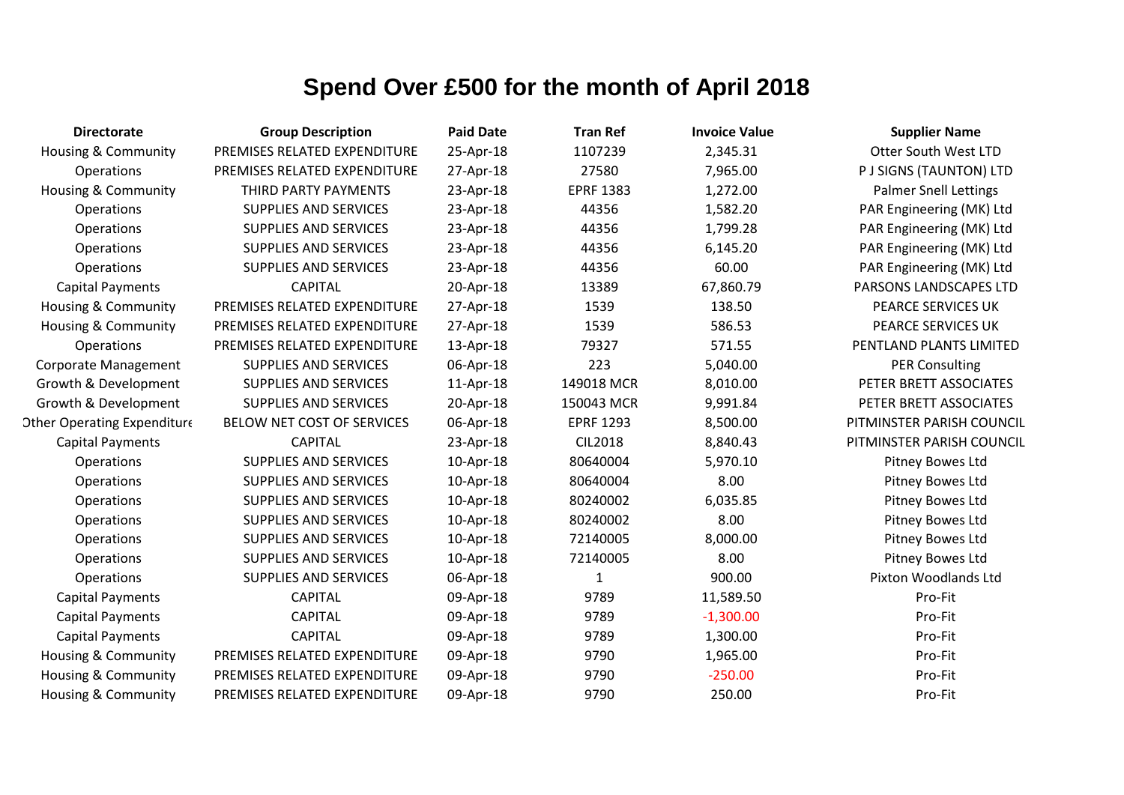| <b>Directorate</b>                 | <b>Group Description</b>     | <b>Paid Date</b> | <b>Tran Ref</b>  | <b>Invoice Value</b> | <b>Supplier Name</b>         |
|------------------------------------|------------------------------|------------------|------------------|----------------------|------------------------------|
| <b>Housing &amp; Community</b>     | PREMISES RELATED EXPENDITURE | 25-Apr-18        | 1107239          | 2,345.31             | <b>Otter South West LTD</b>  |
| Operations                         | PREMISES RELATED EXPENDITURE | 27-Apr-18        | 27580            | 7,965.00             | P J SIGNS (TAUNTON) LTD      |
| Housing & Community                | THIRD PARTY PAYMENTS         | 23-Apr-18        | <b>EPRF 1383</b> | 1,272.00             | <b>Palmer Snell Lettings</b> |
| Operations                         | <b>SUPPLIES AND SERVICES</b> | 23-Apr-18        | 44356            | 1,582.20             | PAR Engineering (MK) Ltd     |
| Operations                         | <b>SUPPLIES AND SERVICES</b> | 23-Apr-18        | 44356            | 1,799.28             | PAR Engineering (MK) Ltd     |
| Operations                         | <b>SUPPLIES AND SERVICES</b> | 23-Apr-18        | 44356            | 6,145.20             | PAR Engineering (MK) Ltd     |
| Operations                         | <b>SUPPLIES AND SERVICES</b> | 23-Apr-18        | 44356            | 60.00                | PAR Engineering (MK) Ltd     |
| <b>Capital Payments</b>            | <b>CAPITAL</b>               | 20-Apr-18        | 13389            | 67,860.79            | PARSONS LANDSCAPES LTD       |
| Housing & Community                | PREMISES RELATED EXPENDITURE | 27-Apr-18        | 1539             | 138.50               | PEARCE SERVICES UK           |
| Housing & Community                | PREMISES RELATED EXPENDITURE | 27-Apr-18        | 1539             | 586.53               | PEARCE SERVICES UK           |
| Operations                         | PREMISES RELATED EXPENDITURE | 13-Apr-18        | 79327            | 571.55               | PENTLAND PLANTS LIMITED      |
| <b>Corporate Management</b>        | <b>SUPPLIES AND SERVICES</b> | 06-Apr-18        | 223              | 5,040.00             | <b>PER Consulting</b>        |
| Growth & Development               | <b>SUPPLIES AND SERVICES</b> | 11-Apr-18        | 149018 MCR       | 8,010.00             | PETER BRETT ASSOCIATES       |
| Growth & Development               | <b>SUPPLIES AND SERVICES</b> | 20-Apr-18        | 150043 MCR       | 9,991.84             | PETER BRETT ASSOCIATES       |
| <b>Other Operating Expenditure</b> | BELOW NET COST OF SERVICES   | 06-Apr-18        | <b>EPRF 1293</b> | 8,500.00             | PITMINSTER PARISH COUNCIL    |
| <b>Capital Payments</b>            | <b>CAPITAL</b>               | 23-Apr-18        | <b>CIL2018</b>   | 8,840.43             | PITMINSTER PARISH COUNCIL    |
| Operations                         | <b>SUPPLIES AND SERVICES</b> | 10-Apr-18        | 80640004         | 5,970.10             | Pitney Bowes Ltd             |
| Operations                         | <b>SUPPLIES AND SERVICES</b> | 10-Apr-18        | 80640004         | 8.00                 | Pitney Bowes Ltd             |
| Operations                         | <b>SUPPLIES AND SERVICES</b> | 10-Apr-18        | 80240002         | 6,035.85             | Pitney Bowes Ltd             |
| Operations                         | <b>SUPPLIES AND SERVICES</b> | 10-Apr-18        | 80240002         | 8.00                 | Pitney Bowes Ltd             |
| Operations                         | <b>SUPPLIES AND SERVICES</b> | 10-Apr-18        | 72140005         | 8,000.00             | Pitney Bowes Ltd             |
| Operations                         | <b>SUPPLIES AND SERVICES</b> | 10-Apr-18        | 72140005         | 8.00                 | Pitney Bowes Ltd             |
| Operations                         | <b>SUPPLIES AND SERVICES</b> | 06-Apr-18        | $\mathbf{1}$     | 900.00               | Pixton Woodlands Ltd         |
| <b>Capital Payments</b>            | <b>CAPITAL</b>               | 09-Apr-18        | 9789             | 11,589.50            | Pro-Fit                      |
| <b>Capital Payments</b>            | <b>CAPITAL</b>               | 09-Apr-18        | 9789             | $-1,300.00$          | Pro-Fit                      |
| <b>Capital Payments</b>            | <b>CAPITAL</b>               | 09-Apr-18        | 9789             | 1,300.00             | Pro-Fit                      |
| Housing & Community                | PREMISES RELATED EXPENDITURE | 09-Apr-18        | 9790             | 1,965.00             | Pro-Fit                      |
| Housing & Community                | PREMISES RELATED EXPENDITURE | 09-Apr-18        | 9790             | $-250.00$            | Pro-Fit                      |
| <b>Housing &amp; Community</b>     | PREMISES RELATED EXPENDITURE | 09-Apr-18        | 9790             | 250.00               | Pro-Fit                      |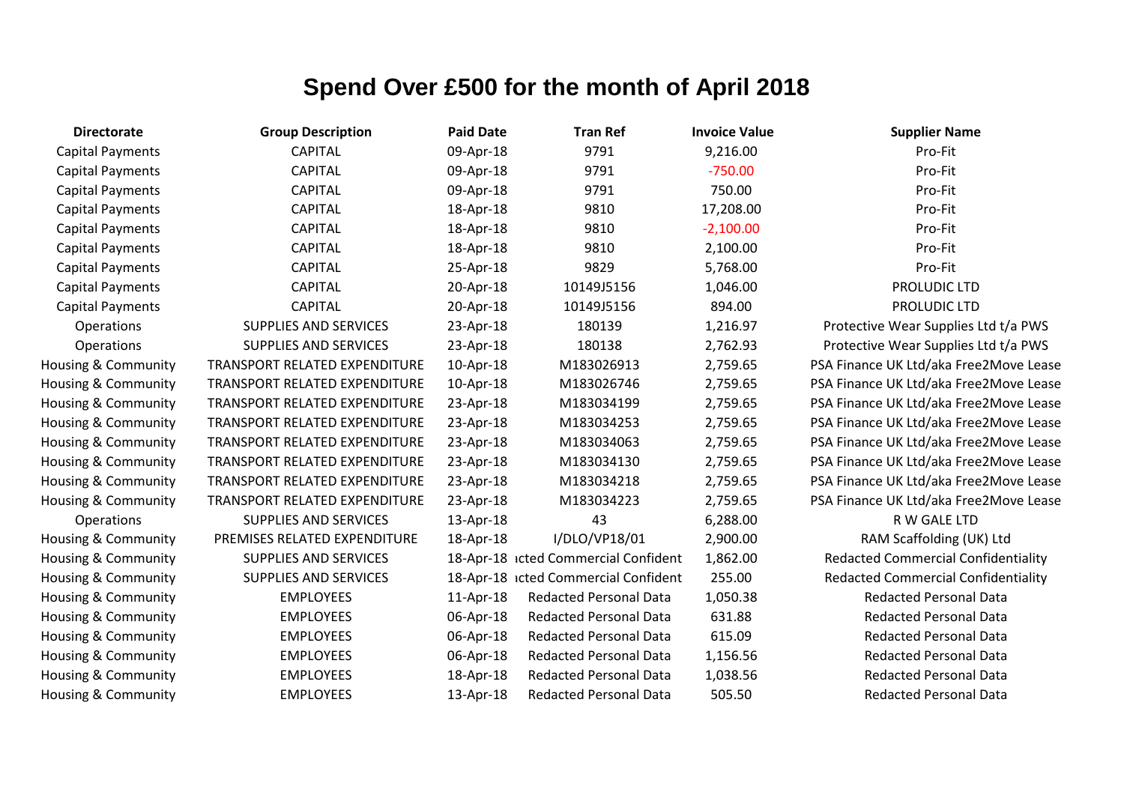| <b>Directorate</b>             | <b>Group Description</b>      | <b>Paid Date</b> | <b>Tran Ref</b>                      | <b>Invoice Value</b> | <b>Supplier Name</b>                       |
|--------------------------------|-------------------------------|------------------|--------------------------------------|----------------------|--------------------------------------------|
| <b>Capital Payments</b>        | <b>CAPITAL</b>                | 09-Apr-18        | 9791                                 | 9,216.00             | Pro-Fit                                    |
| Capital Payments               | <b>CAPITAL</b>                | 09-Apr-18        | 9791                                 | $-750.00$            | Pro-Fit                                    |
| <b>Capital Payments</b>        | <b>CAPITAL</b>                | 09-Apr-18        | 9791                                 | 750.00               | Pro-Fit                                    |
| <b>Capital Payments</b>        | <b>CAPITAL</b>                | 18-Apr-18        | 9810                                 | 17,208.00            | Pro-Fit                                    |
| <b>Capital Payments</b>        | <b>CAPITAL</b>                | 18-Apr-18        | 9810                                 | $-2,100.00$          | Pro-Fit                                    |
| <b>Capital Payments</b>        | <b>CAPITAL</b>                | 18-Apr-18        | 9810                                 | 2,100.00             | Pro-Fit                                    |
| <b>Capital Payments</b>        | <b>CAPITAL</b>                | 25-Apr-18        | 9829                                 | 5,768.00             | Pro-Fit                                    |
| <b>Capital Payments</b>        | <b>CAPITAL</b>                | 20-Apr-18        | 10149J5156                           | 1,046.00             | PROLUDIC LTD                               |
| <b>Capital Payments</b>        | <b>CAPITAL</b>                | 20-Apr-18        | 10149J5156                           | 894.00               | PROLUDIC LTD                               |
| Operations                     | <b>SUPPLIES AND SERVICES</b>  | 23-Apr-18        | 180139                               | 1,216.97             | Protective Wear Supplies Ltd t/a PWS       |
| Operations                     | <b>SUPPLIES AND SERVICES</b>  | 23-Apr-18        | 180138                               | 2,762.93             | Protective Wear Supplies Ltd t/a PWS       |
| <b>Housing &amp; Community</b> | TRANSPORT RELATED EXPENDITURE | 10-Apr-18        | M183026913                           | 2,759.65             | PSA Finance UK Ltd/aka Free2Move Lease     |
| Housing & Community            | TRANSPORT RELATED EXPENDITURE | 10-Apr-18        | M183026746                           | 2,759.65             | PSA Finance UK Ltd/aka Free2Move Lease     |
| Housing & Community            | TRANSPORT RELATED EXPENDITURE | 23-Apr-18        | M183034199                           | 2,759.65             | PSA Finance UK Ltd/aka Free2Move Lease     |
| Housing & Community            | TRANSPORT RELATED EXPENDITURE | 23-Apr-18        | M183034253                           | 2,759.65             | PSA Finance UK Ltd/aka Free2Move Lease     |
| Housing & Community            | TRANSPORT RELATED EXPENDITURE | 23-Apr-18        | M183034063                           | 2,759.65             | PSA Finance UK Ltd/aka Free2Move Lease     |
| Housing & Community            | TRANSPORT RELATED EXPENDITURE | 23-Apr-18        | M183034130                           | 2,759.65             | PSA Finance UK Ltd/aka Free2Move Lease     |
| Housing & Community            | TRANSPORT RELATED EXPENDITURE | 23-Apr-18        | M183034218                           | 2,759.65             | PSA Finance UK Ltd/aka Free2Move Lease     |
| Housing & Community            | TRANSPORT RELATED EXPENDITURE | 23-Apr-18        | M183034223                           | 2,759.65             | PSA Finance UK Ltd/aka Free2Move Lease     |
| Operations                     | <b>SUPPLIES AND SERVICES</b>  | 13-Apr-18        | 43                                   | 6,288.00             | R W GALE LTD                               |
| Housing & Community            | PREMISES RELATED EXPENDITURE  | 18-Apr-18        | I/DLO/VP18/01                        | 2,900.00             | RAM Scaffolding (UK) Ltd                   |
| <b>Housing &amp; Community</b> | <b>SUPPLIES AND SERVICES</b>  |                  | 18-Apr-18 icted Commercial Confident | 1,862.00             | <b>Redacted Commercial Confidentiality</b> |
| Housing & Community            | <b>SUPPLIES AND SERVICES</b>  |                  | 18-Apr-18 icted Commercial Confident | 255.00               | <b>Redacted Commercial Confidentiality</b> |
| Housing & Community            | <b>EMPLOYEES</b>              | 11-Apr-18        | <b>Redacted Personal Data</b>        | 1,050.38             | <b>Redacted Personal Data</b>              |
| Housing & Community            | <b>EMPLOYEES</b>              | 06-Apr-18        | <b>Redacted Personal Data</b>        | 631.88               | <b>Redacted Personal Data</b>              |
| Housing & Community            | <b>EMPLOYEES</b>              | 06-Apr-18        | <b>Redacted Personal Data</b>        | 615.09               | <b>Redacted Personal Data</b>              |
| Housing & Community            | <b>EMPLOYEES</b>              | 06-Apr-18        | <b>Redacted Personal Data</b>        | 1,156.56             | <b>Redacted Personal Data</b>              |
| Housing & Community            | <b>EMPLOYEES</b>              | 18-Apr-18        | <b>Redacted Personal Data</b>        | 1,038.56             | <b>Redacted Personal Data</b>              |
| <b>Housing &amp; Community</b> | <b>EMPLOYEES</b>              | 13-Apr-18        | <b>Redacted Personal Data</b>        | 505.50               | <b>Redacted Personal Data</b>              |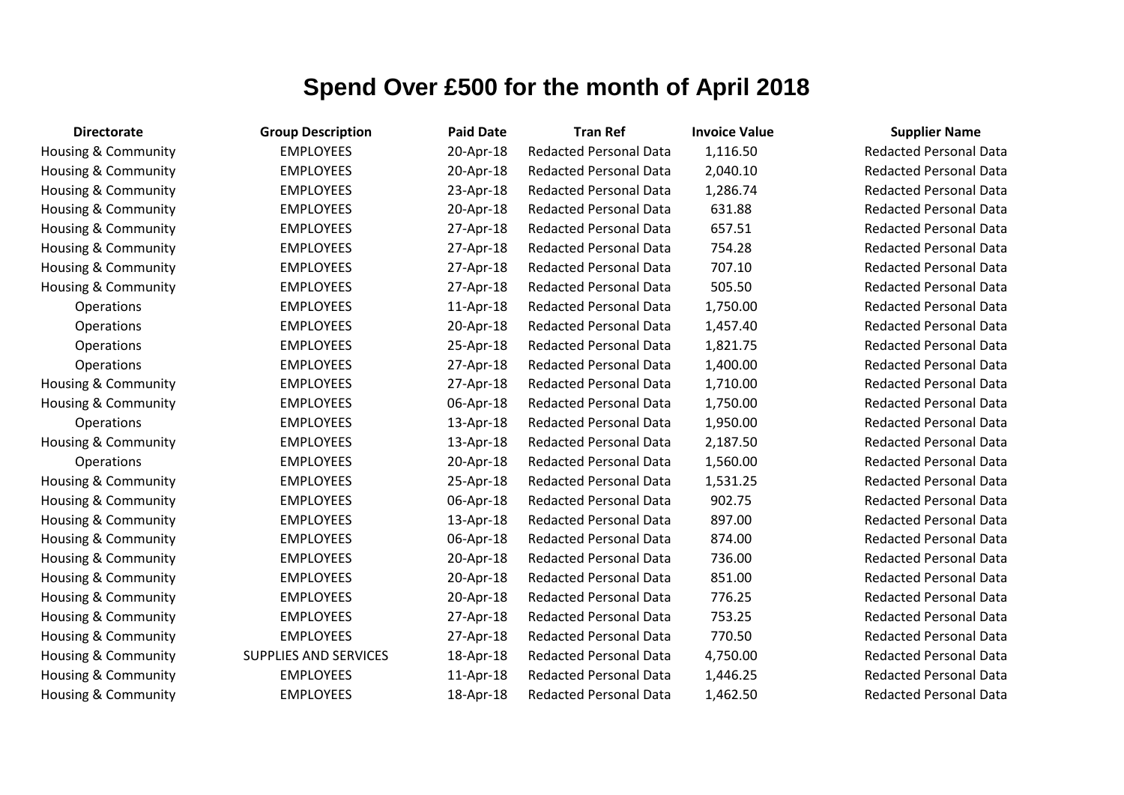| <b>Directorate</b>  | <b>Group Description</b>     | <b>Paid Date</b> | <b>Tran Ref</b>               | <b>Invoice Value</b> | <b>Supplier Name</b>     |
|---------------------|------------------------------|------------------|-------------------------------|----------------------|--------------------------|
| Housing & Community | <b>EMPLOYEES</b>             | 20-Apr-18        | <b>Redacted Personal Data</b> | 1,116.50             | <b>Redacted Personal</b> |
| Housing & Community | <b>EMPLOYEES</b>             | 20-Apr-18        | Redacted Personal Data        | 2,040.10             | <b>Redacted Personal</b> |
| Housing & Community | <b>EMPLOYEES</b>             | 23-Apr-18        | <b>Redacted Personal Data</b> | 1,286.74             | <b>Redacted Personal</b> |
| Housing & Community | <b>EMPLOYEES</b>             | 20-Apr-18        | <b>Redacted Personal Data</b> | 631.88               | <b>Redacted Personal</b> |
| Housing & Community | <b>EMPLOYEES</b>             | 27-Apr-18        | <b>Redacted Personal Data</b> | 657.51               | <b>Redacted Personal</b> |
| Housing & Community | <b>EMPLOYEES</b>             | 27-Apr-18        | <b>Redacted Personal Data</b> | 754.28               | <b>Redacted Personal</b> |
| Housing & Community | <b>EMPLOYEES</b>             | 27-Apr-18        | <b>Redacted Personal Data</b> | 707.10               | <b>Redacted Personal</b> |
| Housing & Community | <b>EMPLOYEES</b>             | 27-Apr-18        | <b>Redacted Personal Data</b> | 505.50               | <b>Redacted Personal</b> |
| Operations          | <b>EMPLOYEES</b>             | 11-Apr-18        | <b>Redacted Personal Data</b> | 1,750.00             | <b>Redacted Personal</b> |
| Operations          | <b>EMPLOYEES</b>             | 20-Apr-18        | <b>Redacted Personal Data</b> | 1,457.40             | <b>Redacted Personal</b> |
| Operations          | <b>EMPLOYEES</b>             | 25-Apr-18        | <b>Redacted Personal Data</b> | 1,821.75             | <b>Redacted Personal</b> |
| Operations          | <b>EMPLOYEES</b>             | 27-Apr-18        | <b>Redacted Personal Data</b> | 1,400.00             | <b>Redacted Personal</b> |
| Housing & Community | <b>EMPLOYEES</b>             | 27-Apr-18        | <b>Redacted Personal Data</b> | 1,710.00             | <b>Redacted Personal</b> |
| Housing & Community | <b>EMPLOYEES</b>             | 06-Apr-18        | Redacted Personal Data        | 1,750.00             | <b>Redacted Personal</b> |
| Operations          | <b>EMPLOYEES</b>             | 13-Apr-18        | <b>Redacted Personal Data</b> | 1,950.00             | Redacted Personal        |
| Housing & Community | <b>EMPLOYEES</b>             | 13-Apr-18        | <b>Redacted Personal Data</b> | 2,187.50             | <b>Redacted Personal</b> |
| Operations          | <b>EMPLOYEES</b>             | 20-Apr-18        | <b>Redacted Personal Data</b> | 1,560.00             | <b>Redacted Personal</b> |
| Housing & Community | <b>EMPLOYEES</b>             | 25-Apr-18        | Redacted Personal Data        | 1,531.25             | <b>Redacted Personal</b> |
| Housing & Community | <b>EMPLOYEES</b>             | 06-Apr-18        | <b>Redacted Personal Data</b> | 902.75               | <b>Redacted Personal</b> |
| Housing & Community | <b>EMPLOYEES</b>             | 13-Apr-18        | <b>Redacted Personal Data</b> | 897.00               | <b>Redacted Personal</b> |
| Housing & Community | <b>EMPLOYEES</b>             | 06-Apr-18        | <b>Redacted Personal Data</b> | 874.00               | <b>Redacted Personal</b> |
| Housing & Community | <b>EMPLOYEES</b>             | 20-Apr-18        | <b>Redacted Personal Data</b> | 736.00               | <b>Redacted Personal</b> |
| Housing & Community | <b>EMPLOYEES</b>             | 20-Apr-18        | Redacted Personal Data        | 851.00               | Redacted Personal        |
| Housing & Community | <b>EMPLOYEES</b>             | 20-Apr-18        | <b>Redacted Personal Data</b> | 776.25               | <b>Redacted Personal</b> |
| Housing & Community | <b>EMPLOYEES</b>             | 27-Apr-18        | <b>Redacted Personal Data</b> | 753.25               | <b>Redacted Personal</b> |
| Housing & Community | <b>EMPLOYEES</b>             | 27-Apr-18        | <b>Redacted Personal Data</b> | 770.50               | <b>Redacted Personal</b> |
| Housing & Community | <b>SUPPLIES AND SERVICES</b> | 18-Apr-18        | Redacted Personal Data        | 4,750.00             | <b>Redacted Personal</b> |
| Housing & Community | <b>EMPLOYEES</b>             | 11-Apr-18        | <b>Redacted Personal Data</b> | 1,446.25             | <b>Redacted Personal</b> |
| Housing & Community | <b>EMPLOYEES</b>             | 18-Apr-18        | <b>Redacted Personal Data</b> | 1,462.50             | <b>Redacted Personal</b> |

Redacted Personal Data Redacted Personal Data Redacted Personal Data Redacted Personal Data Redacted Personal Data Redacted Personal Data Redacted Personal Data Redacted Personal Data **Redacted Personal Data Redacted Personal Data Redacted Personal Data Redacted Personal Data** Redacted Personal Data Redacted Personal Data Redacted Personal Data Redacted Personal Data **Redacted Personal Data** Redacted Personal Data Redacted Personal Data Redacted Personal Data Redacted Personal Data Redacted Personal Data Redacted Personal Data Redacted Personal Data Redacted Personal Data Redacted Personal Data Redacted Personal Data Redacted Personal Data Redacted Personal Data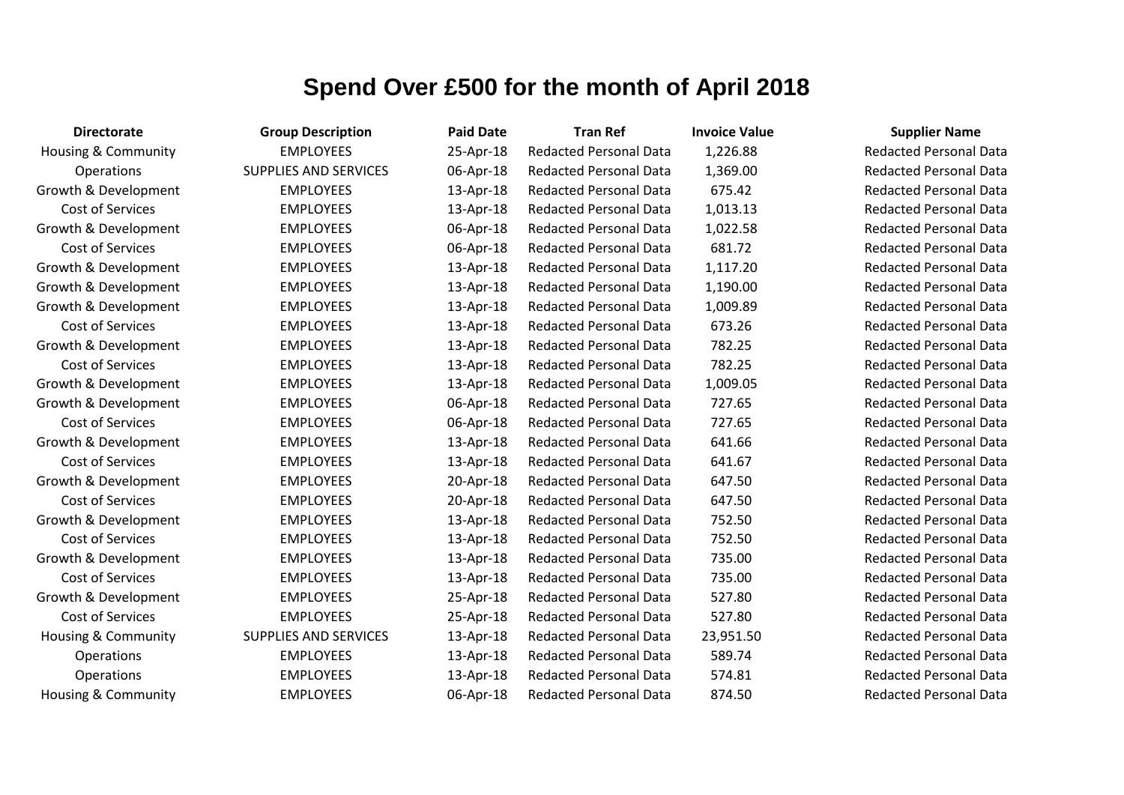| <b>Directorate</b>             | <b>Group Description</b>     | <b>Paid Date</b> | <b>Tran Ref</b>               | <b>Invoice Value</b> | <b>Supplier Name</b>          |
|--------------------------------|------------------------------|------------------|-------------------------------|----------------------|-------------------------------|
| <b>Housing &amp; Community</b> | <b>EMPLOYEES</b>             | 25-Apr-18        | <b>Redacted Personal Data</b> | 1,226.88             | <b>Redacted Personal Data</b> |
| Operations                     | <b>SUPPLIES AND SERVICES</b> | 06-Apr-18        | <b>Redacted Personal Data</b> | 1,369.00             | <b>Redacted Personal Data</b> |
| Growth & Development           | <b>EMPLOYEES</b>             | 13-Apr-18        | <b>Redacted Personal Data</b> | 675.42               | <b>Redacted Personal Data</b> |
| Cost of Services               | <b>EMPLOYEES</b>             | 13-Apr-18        | <b>Redacted Personal Data</b> | 1,013.13             | <b>Redacted Personal Data</b> |
| Growth & Development           | <b>EMPLOYEES</b>             | 06-Apr-18        | <b>Redacted Personal Data</b> | 1,022.58             | <b>Redacted Personal Data</b> |
| Cost of Services               | <b>EMPLOYEES</b>             | 06-Apr-18        | <b>Redacted Personal Data</b> | 681.72               | <b>Redacted Personal Data</b> |
| Growth & Development           | <b>EMPLOYEES</b>             | 13-Apr-18        | <b>Redacted Personal Data</b> | 1,117.20             | <b>Redacted Personal Data</b> |
| Growth & Development           | <b>EMPLOYEES</b>             | 13-Apr-18        | <b>Redacted Personal Data</b> | 1,190.00             | <b>Redacted Personal Data</b> |
| Growth & Development           | <b>EMPLOYEES</b>             | 13-Apr-18        | <b>Redacted Personal Data</b> | 1,009.89             | <b>Redacted Personal Data</b> |
| Cost of Services               | <b>EMPLOYEES</b>             | 13-Apr-18        | <b>Redacted Personal Data</b> | 673.26               | <b>Redacted Personal Data</b> |
| Growth & Development           | <b>EMPLOYEES</b>             | 13-Apr-18        | <b>Redacted Personal Data</b> | 782.25               | <b>Redacted Personal Data</b> |
| Cost of Services               | <b>EMPLOYEES</b>             | 13-Apr-18        | <b>Redacted Personal Data</b> | 782.25               | <b>Redacted Personal Data</b> |
| Growth & Development           | <b>EMPLOYEES</b>             | 13-Apr-18        | <b>Redacted Personal Data</b> | 1,009.05             | <b>Redacted Personal Data</b> |
| Growth & Development           | <b>EMPLOYEES</b>             | 06-Apr-18        | <b>Redacted Personal Data</b> | 727.65               | <b>Redacted Personal Data</b> |
| Cost of Services               | <b>EMPLOYEES</b>             | 06-Apr-18        | <b>Redacted Personal Data</b> | 727.65               | <b>Redacted Personal Data</b> |
| Growth & Development           | <b>EMPLOYEES</b>             | 13-Apr-18        | <b>Redacted Personal Data</b> | 641.66               | <b>Redacted Personal Data</b> |
| Cost of Services               | <b>EMPLOYEES</b>             | 13-Apr-18        | <b>Redacted Personal Data</b> | 641.67               | <b>Redacted Personal Data</b> |
| Growth & Development           | <b>EMPLOYEES</b>             | 20-Apr-18        | <b>Redacted Personal Data</b> | 647.50               | <b>Redacted Personal Data</b> |
| Cost of Services               | <b>EMPLOYEES</b>             | 20-Apr-18        | <b>Redacted Personal Data</b> | 647.50               | <b>Redacted Personal Data</b> |
| Growth & Development           | <b>EMPLOYEES</b>             | 13-Apr-18        | <b>Redacted Personal Data</b> | 752.50               | <b>Redacted Personal Data</b> |
| Cost of Services               | <b>EMPLOYEES</b>             | 13-Apr-18        | <b>Redacted Personal Data</b> | 752.50               | <b>Redacted Personal Data</b> |
| Growth & Development           | <b>EMPLOYEES</b>             | 13-Apr-18        | <b>Redacted Personal Data</b> | 735.00               | <b>Redacted Personal Data</b> |
| Cost of Services               | <b>EMPLOYEES</b>             | 13-Apr-18        | <b>Redacted Personal Data</b> | 735.00               | <b>Redacted Personal Data</b> |
| Growth & Development           | <b>EMPLOYEES</b>             | 25-Apr-18        | <b>Redacted Personal Data</b> | 527.80               | <b>Redacted Personal Data</b> |
| Cost of Services               | <b>EMPLOYEES</b>             | 25-Apr-18        | <b>Redacted Personal Data</b> | 527.80               | <b>Redacted Personal Data</b> |
| Housing & Community            | SUPPLIES AND SERVICES        | 13-Apr-18        | <b>Redacted Personal Data</b> | 23,951.50            | <b>Redacted Personal Data</b> |
| Operations                     | <b>EMPLOYEES</b>             | 13-Apr-18        | <b>Redacted Personal Data</b> | 589.74               | <b>Redacted Personal Data</b> |
| Operations                     | <b>EMPLOYEES</b>             | 13-Apr-18        | <b>Redacted Personal Data</b> | 574.81               | <b>Redacted Personal Data</b> |
| Housing & Community            | <b>EMPLOYEES</b>             | 06-Apr-18        | <b>Redacted Personal Data</b> | 874.50               | <b>Redacted Personal Data</b> |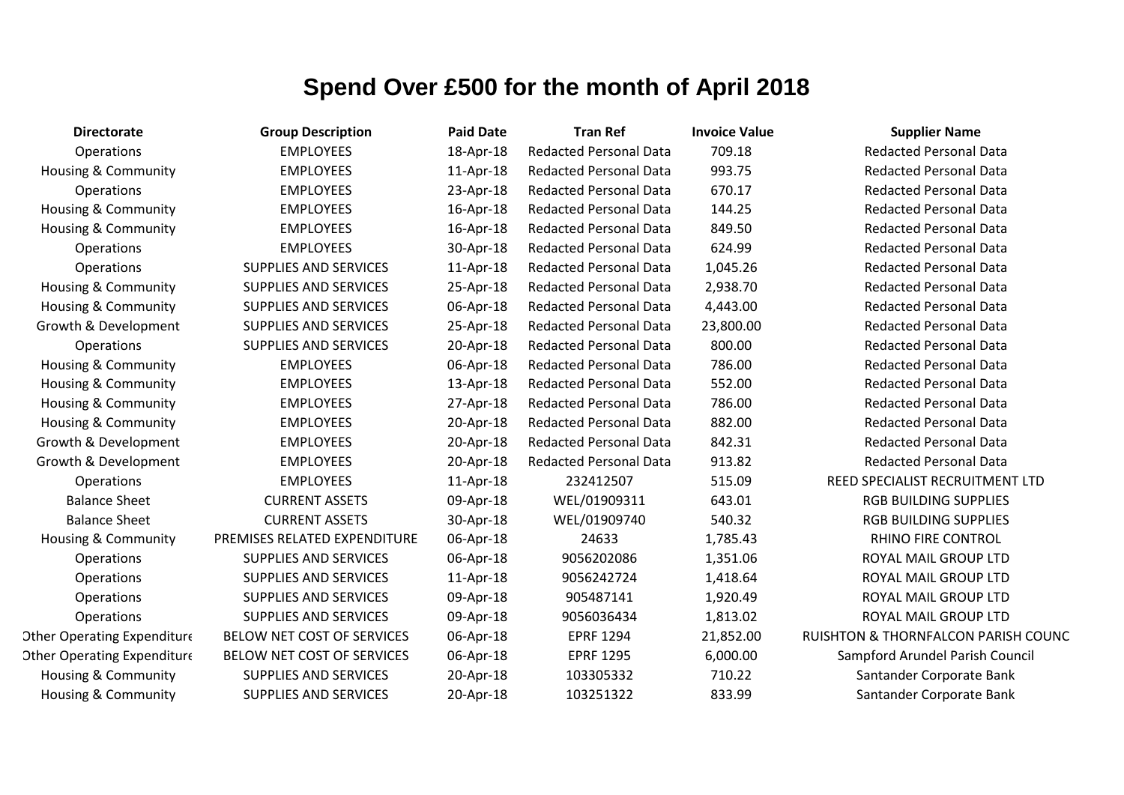| <b>Directorate</b>                 | <b>Group Description</b>     | <b>Paid Date</b> | <b>Tran Ref</b>               | <b>Invoice Value</b> | <b>Supplier Name</b>                           |
|------------------------------------|------------------------------|------------------|-------------------------------|----------------------|------------------------------------------------|
| Operations                         | <b>EMPLOYEES</b>             | 18-Apr-18        | <b>Redacted Personal Data</b> | 709.18               | <b>Redacted Personal Data</b>                  |
| Housing & Community                | <b>EMPLOYEES</b>             | 11-Apr-18        | <b>Redacted Personal Data</b> | 993.75               | <b>Redacted Personal Data</b>                  |
| <b>Operations</b>                  | <b>EMPLOYEES</b>             | 23-Apr-18        | <b>Redacted Personal Data</b> | 670.17               | <b>Redacted Personal Data</b>                  |
| Housing & Community                | <b>EMPLOYEES</b>             | 16-Apr-18        | <b>Redacted Personal Data</b> | 144.25               | <b>Redacted Personal Data</b>                  |
| Housing & Community                | <b>EMPLOYEES</b>             | 16-Apr-18        | <b>Redacted Personal Data</b> | 849.50               | <b>Redacted Personal Data</b>                  |
| Operations                         | <b>EMPLOYEES</b>             | 30-Apr-18        | <b>Redacted Personal Data</b> | 624.99               | <b>Redacted Personal Data</b>                  |
| Operations                         | <b>SUPPLIES AND SERVICES</b> | 11-Apr-18        | <b>Redacted Personal Data</b> | 1,045.26             | <b>Redacted Personal Data</b>                  |
| Housing & Community                | <b>SUPPLIES AND SERVICES</b> | 25-Apr-18        | <b>Redacted Personal Data</b> | 2,938.70             | <b>Redacted Personal Data</b>                  |
| Housing & Community                | <b>SUPPLIES AND SERVICES</b> | 06-Apr-18        | <b>Redacted Personal Data</b> | 4,443.00             | <b>Redacted Personal Data</b>                  |
| Growth & Development               | <b>SUPPLIES AND SERVICES</b> | 25-Apr-18        | <b>Redacted Personal Data</b> | 23,800.00            | <b>Redacted Personal Data</b>                  |
| Operations                         | <b>SUPPLIES AND SERVICES</b> | 20-Apr-18        | <b>Redacted Personal Data</b> | 800.00               | <b>Redacted Personal Data</b>                  |
| <b>Housing &amp; Community</b>     | <b>EMPLOYEES</b>             | 06-Apr-18        | <b>Redacted Personal Data</b> | 786.00               | <b>Redacted Personal Data</b>                  |
| Housing & Community                | <b>EMPLOYEES</b>             | 13-Apr-18        | <b>Redacted Personal Data</b> | 552.00               | <b>Redacted Personal Data</b>                  |
| Housing & Community                | <b>EMPLOYEES</b>             | 27-Apr-18        | <b>Redacted Personal Data</b> | 786.00               | <b>Redacted Personal Data</b>                  |
| Housing & Community                | <b>EMPLOYEES</b>             | 20-Apr-18        | <b>Redacted Personal Data</b> | 882.00               | <b>Redacted Personal Data</b>                  |
| Growth & Development               | <b>EMPLOYEES</b>             | 20-Apr-18        | <b>Redacted Personal Data</b> | 842.31               | <b>Redacted Personal Data</b>                  |
| Growth & Development               | <b>EMPLOYEES</b>             | 20-Apr-18        | <b>Redacted Personal Data</b> | 913.82               | <b>Redacted Personal Data</b>                  |
| <b>Operations</b>                  | <b>EMPLOYEES</b>             | 11-Apr-18        | 232412507                     | 515.09               | REED SPECIALIST RECRUITMENT LTD                |
| <b>Balance Sheet</b>               | <b>CURRENT ASSETS</b>        | 09-Apr-18        | WEL/01909311                  | 643.01               | <b>RGB BUILDING SUPPLIES</b>                   |
| <b>Balance Sheet</b>               | <b>CURRENT ASSETS</b>        | 30-Apr-18        | WEL/01909740                  | 540.32               | <b>RGB BUILDING SUPPLIES</b>                   |
| Housing & Community                | PREMISES RELATED EXPENDITURE | 06-Apr-18        | 24633                         | 1,785.43             | RHINO FIRE CONTROL                             |
| Operations                         | <b>SUPPLIES AND SERVICES</b> | 06-Apr-18        | 9056202086                    | 1,351.06             | ROYAL MAIL GROUP LTD                           |
| Operations                         | <b>SUPPLIES AND SERVICES</b> | 11-Apr-18        | 9056242724                    | 1,418.64             | ROYAL MAIL GROUP LTD                           |
| Operations                         | <b>SUPPLIES AND SERVICES</b> | 09-Apr-18        | 905487141                     | 1,920.49             | ROYAL MAIL GROUP LTD                           |
| Operations                         | <b>SUPPLIES AND SERVICES</b> | 09-Apr-18        | 9056036434                    | 1,813.02             | ROYAL MAIL GROUP LTD                           |
| <b>Other Operating Expenditure</b> | BELOW NET COST OF SERVICES   | 06-Apr-18        | <b>EPRF 1294</b>              | 21,852.00            | <b>RUISHTON &amp; THORNFALCON PARISH COUNC</b> |
| <b>Other Operating Expenditure</b> | BELOW NET COST OF SERVICES   | 06-Apr-18        | <b>EPRF 1295</b>              | 6,000.00             | Sampford Arundel Parish Council                |
| <b>Housing &amp; Community</b>     | <b>SUPPLIES AND SERVICES</b> | 20-Apr-18        | 103305332                     | 710.22               | Santander Corporate Bank                       |
| Housing & Community                | <b>SUPPLIES AND SERVICES</b> | 20-Apr-18        | 103251322                     | 833.99               | Santander Corporate Bank                       |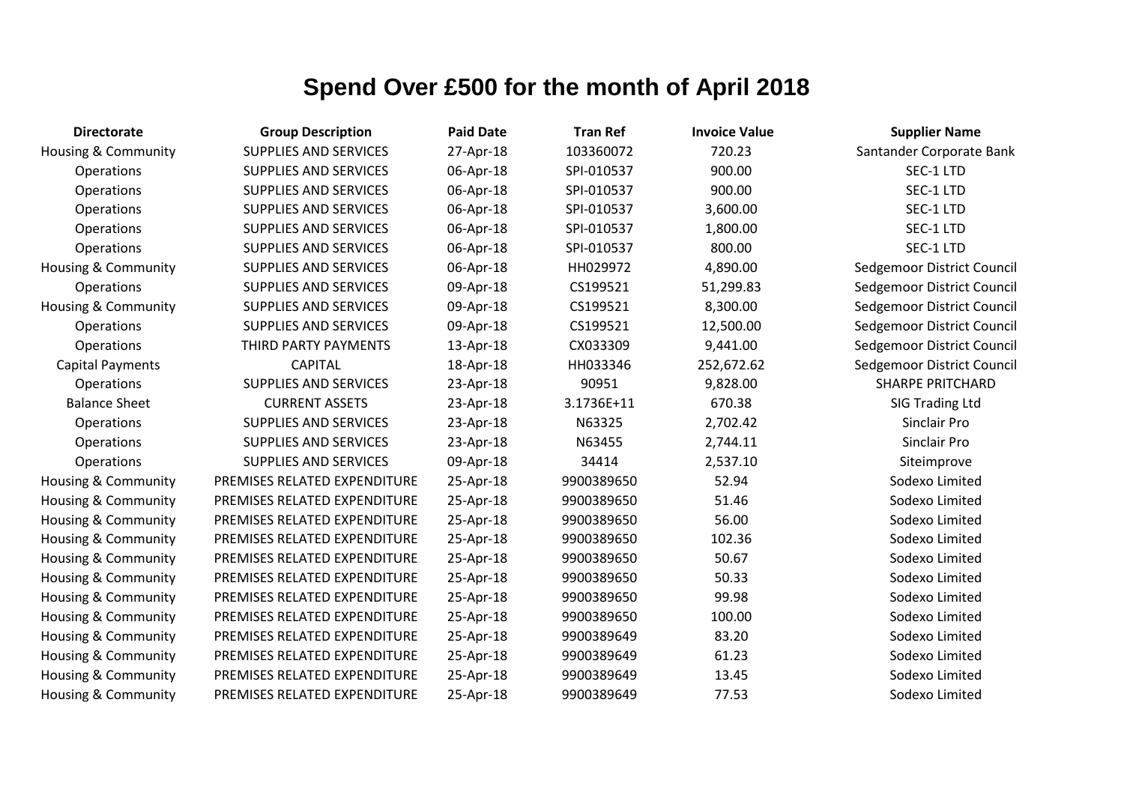| <b>Directorate</b>             | <b>Group Description</b>     | <b>Paid Date</b> | <b>Tran Ref</b> | <b>Invoice Value</b> | <b>Supplier Name</b>       |
|--------------------------------|------------------------------|------------------|-----------------|----------------------|----------------------------|
| <b>Housing &amp; Community</b> | <b>SUPPLIES AND SERVICES</b> | 27-Apr-18        | 103360072       | 720.23               | Santander Corporate Bank   |
| <b>Operations</b>              | SUPPLIES AND SERVICES        | 06-Apr-18        | SPI-010537      | 900.00               | SEC-1 LTD                  |
| Operations                     | SUPPLIES AND SERVICES        | 06-Apr-18        | SPI-010537      | 900.00               | SEC-1 LTD                  |
| Operations                     | <b>SUPPLIES AND SERVICES</b> | 06-Apr-18        | SPI-010537      | 3,600.00             | SEC-1 LTD                  |
| Operations                     | <b>SUPPLIES AND SERVICES</b> | 06-Apr-18        | SPI-010537      | 1,800.00             | SEC-1 LTD                  |
| Operations                     | SUPPLIES AND SERVICES        | 06-Apr-18        | SPI-010537      | 800.00               | SEC-1 LTD                  |
| Housing & Community            | <b>SUPPLIES AND SERVICES</b> | 06-Apr-18        | HH029972        | 4,890.00             | Sedgemoor District Council |
| Operations                     | <b>SUPPLIES AND SERVICES</b> | 09-Apr-18        | CS199521        | 51,299.83            | Sedgemoor District Council |
| <b>Housing &amp; Community</b> | SUPPLIES AND SERVICES        | 09-Apr-18        | CS199521        | 8,300.00             | Sedgemoor District Council |
| Operations                     | <b>SUPPLIES AND SERVICES</b> | 09-Apr-18        | CS199521        | 12,500.00            | Sedgemoor District Council |
| Operations                     | THIRD PARTY PAYMENTS         | 13-Apr-18        | CX033309        | 9,441.00             | Sedgemoor District Council |
| <b>Capital Payments</b>        | <b>CAPITAL</b>               | 18-Apr-18        | HH033346        | 252,672.62           | Sedgemoor District Council |
| Operations                     | <b>SUPPLIES AND SERVICES</b> | 23-Apr-18        | 90951           | 9,828.00             | <b>SHARPE PRITCHARD</b>    |
| <b>Balance Sheet</b>           | <b>CURRENT ASSETS</b>        | 23-Apr-18        | 3.1736E+11      | 670.38               | SIG Trading Ltd            |
| Operations                     | SUPPLIES AND SERVICES        | 23-Apr-18        | N63325          | 2,702.42             | Sinclair Pro               |
| Operations                     | <b>SUPPLIES AND SERVICES</b> | 23-Apr-18        | N63455          | 2,744.11             | Sinclair Pro               |
| Operations                     | SUPPLIES AND SERVICES        | 09-Apr-18        | 34414           | 2,537.10             | Siteimprove                |
| Housing & Community            | PREMISES RELATED EXPENDITURE | 25-Apr-18        | 9900389650      | 52.94                | Sodexo Limited             |
| Housing & Community            | PREMISES RELATED EXPENDITURE | 25-Apr-18        | 9900389650      | 51.46                | Sodexo Limited             |
| Housing & Community            | PREMISES RELATED EXPENDITURE | 25-Apr-18        | 9900389650      | 56.00                | Sodexo Limited             |
| Housing & Community            | PREMISES RELATED EXPENDITURE | 25-Apr-18        | 9900389650      | 102.36               | Sodexo Limited             |
| Housing & Community            | PREMISES RELATED EXPENDITURE | 25-Apr-18        | 9900389650      | 50.67                | Sodexo Limited             |
| Housing & Community            | PREMISES RELATED EXPENDITURE | 25-Apr-18        | 9900389650      | 50.33                | Sodexo Limited             |
| Housing & Community            | PREMISES RELATED EXPENDITURE | 25-Apr-18        | 9900389650      | 99.98                | Sodexo Limited             |
| Housing & Community            | PREMISES RELATED EXPENDITURE | 25-Apr-18        | 9900389650      | 100.00               | Sodexo Limited             |
| Housing & Community            | PREMISES RELATED EXPENDITURE | 25-Apr-18        | 9900389649      | 83.20                | Sodexo Limited             |
| Housing & Community            | PREMISES RELATED EXPENDITURE | 25-Apr-18        | 9900389649      | 61.23                | Sodexo Limited             |
| Housing & Community            | PREMISES RELATED EXPENDITURE | 25-Apr-18        | 9900389649      | 13.45                | Sodexo Limited             |
| Housing & Community            | PREMISES RELATED EXPENDITURE | 25-Apr-18        | 9900389649      | 77.53                | Sodexo Limited             |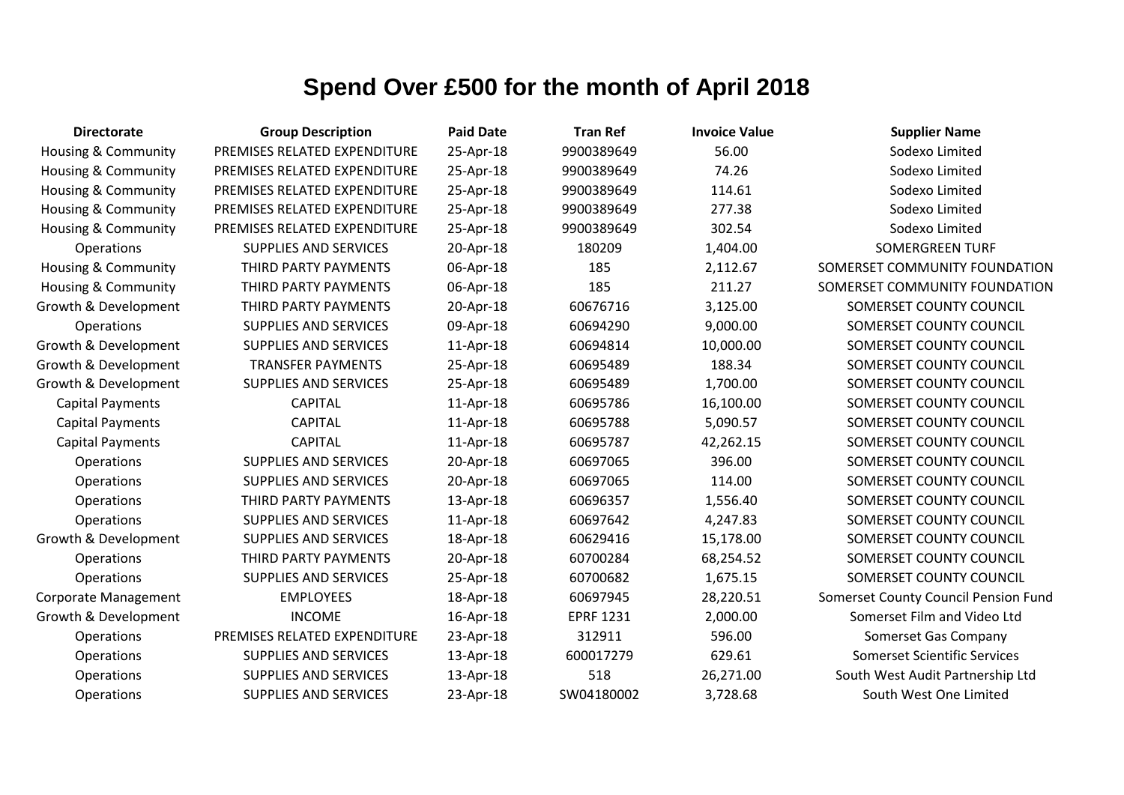| <b>Directorate</b>             | <b>Group Description</b>     | <b>Paid Date</b> | <b>Tran Ref</b>  | <b>Invoice Value</b> | <b>Supplier Name</b>                 |
|--------------------------------|------------------------------|------------------|------------------|----------------------|--------------------------------------|
| <b>Housing &amp; Community</b> | PREMISES RELATED EXPENDITURE | 25-Apr-18        | 9900389649       | 56.00                | Sodexo Limited                       |
| Housing & Community            | PREMISES RELATED EXPENDITURE | 25-Apr-18        | 9900389649       | 74.26                | Sodexo Limited                       |
| Housing & Community            | PREMISES RELATED EXPENDITURE | 25-Apr-18        | 9900389649       | 114.61               | Sodexo Limited                       |
| <b>Housing &amp; Community</b> | PREMISES RELATED EXPENDITURE | 25-Apr-18        | 9900389649       | 277.38               | Sodexo Limited                       |
| Housing & Community            | PREMISES RELATED EXPENDITURE | 25-Apr-18        | 9900389649       | 302.54               | Sodexo Limited                       |
| <b>Operations</b>              | <b>SUPPLIES AND SERVICES</b> | 20-Apr-18        | 180209           | 1,404.00             | <b>SOMERGREEN TURF</b>               |
| Housing & Community            | THIRD PARTY PAYMENTS         | 06-Apr-18        | 185              | 2,112.67             | SOMERSET COMMUNITY FOUNDATION        |
| <b>Housing &amp; Community</b> | THIRD PARTY PAYMENTS         | 06-Apr-18        | 185              | 211.27               | SOMERSET COMMUNITY FOUNDATION        |
| Growth & Development           | THIRD PARTY PAYMENTS         | 20-Apr-18        | 60676716         | 3,125.00             | SOMERSET COUNTY COUNCIL              |
| Operations                     | <b>SUPPLIES AND SERVICES</b> | 09-Apr-18        | 60694290         | 9,000.00             | SOMERSET COUNTY COUNCIL              |
| Growth & Development           | SUPPLIES AND SERVICES        | 11-Apr-18        | 60694814         | 10,000.00            | SOMERSET COUNTY COUNCIL              |
| Growth & Development           | <b>TRANSFER PAYMENTS</b>     | 25-Apr-18        | 60695489         | 188.34               | SOMERSET COUNTY COUNCIL              |
| Growth & Development           | <b>SUPPLIES AND SERVICES</b> | 25-Apr-18        | 60695489         | 1,700.00             | SOMERSET COUNTY COUNCIL              |
| <b>Capital Payments</b>        | <b>CAPITAL</b>               | 11-Apr-18        | 60695786         | 16,100.00            | SOMERSET COUNTY COUNCIL              |
| <b>Capital Payments</b>        | <b>CAPITAL</b>               | 11-Apr-18        | 60695788         | 5,090.57             | SOMERSET COUNTY COUNCIL              |
| <b>Capital Payments</b>        | <b>CAPITAL</b>               | 11-Apr-18        | 60695787         | 42,262.15            | SOMERSET COUNTY COUNCIL              |
| Operations                     | <b>SUPPLIES AND SERVICES</b> | 20-Apr-18        | 60697065         | 396.00               | SOMERSET COUNTY COUNCIL              |
| Operations                     | <b>SUPPLIES AND SERVICES</b> | 20-Apr-18        | 60697065         | 114.00               | SOMERSET COUNTY COUNCIL              |
| <b>Operations</b>              | THIRD PARTY PAYMENTS         | 13-Apr-18        | 60696357         | 1,556.40             | SOMERSET COUNTY COUNCIL              |
| Operations                     | <b>SUPPLIES AND SERVICES</b> | 11-Apr-18        | 60697642         | 4,247.83             | SOMERSET COUNTY COUNCIL              |
| Growth & Development           | <b>SUPPLIES AND SERVICES</b> | 18-Apr-18        | 60629416         | 15,178.00            | SOMERSET COUNTY COUNCIL              |
| Operations                     | THIRD PARTY PAYMENTS         | 20-Apr-18        | 60700284         | 68,254.52            | SOMERSET COUNTY COUNCIL              |
| <b>Operations</b>              | <b>SUPPLIES AND SERVICES</b> | 25-Apr-18        | 60700682         | 1,675.15             | SOMERSET COUNTY COUNCIL              |
| <b>Corporate Management</b>    | <b>EMPLOYEES</b>             | 18-Apr-18        | 60697945         | 28,220.51            | Somerset County Council Pension Fund |
| Growth & Development           | <b>INCOME</b>                | 16-Apr-18        | <b>EPRF 1231</b> | 2,000.00             | Somerset Film and Video Ltd          |
| Operations                     | PREMISES RELATED EXPENDITURE | 23-Apr-18        | 312911           | 596.00               | Somerset Gas Company                 |
| <b>Operations</b>              | <b>SUPPLIES AND SERVICES</b> | 13-Apr-18        | 600017279        | 629.61               | <b>Somerset Scientific Services</b>  |
| <b>Operations</b>              | <b>SUPPLIES AND SERVICES</b> | 13-Apr-18        | 518              | 26,271.00            | South West Audit Partnership Ltd     |
| Operations                     | <b>SUPPLIES AND SERVICES</b> | 23-Apr-18        | SW04180002       | 3,728.68             | South West One Limited               |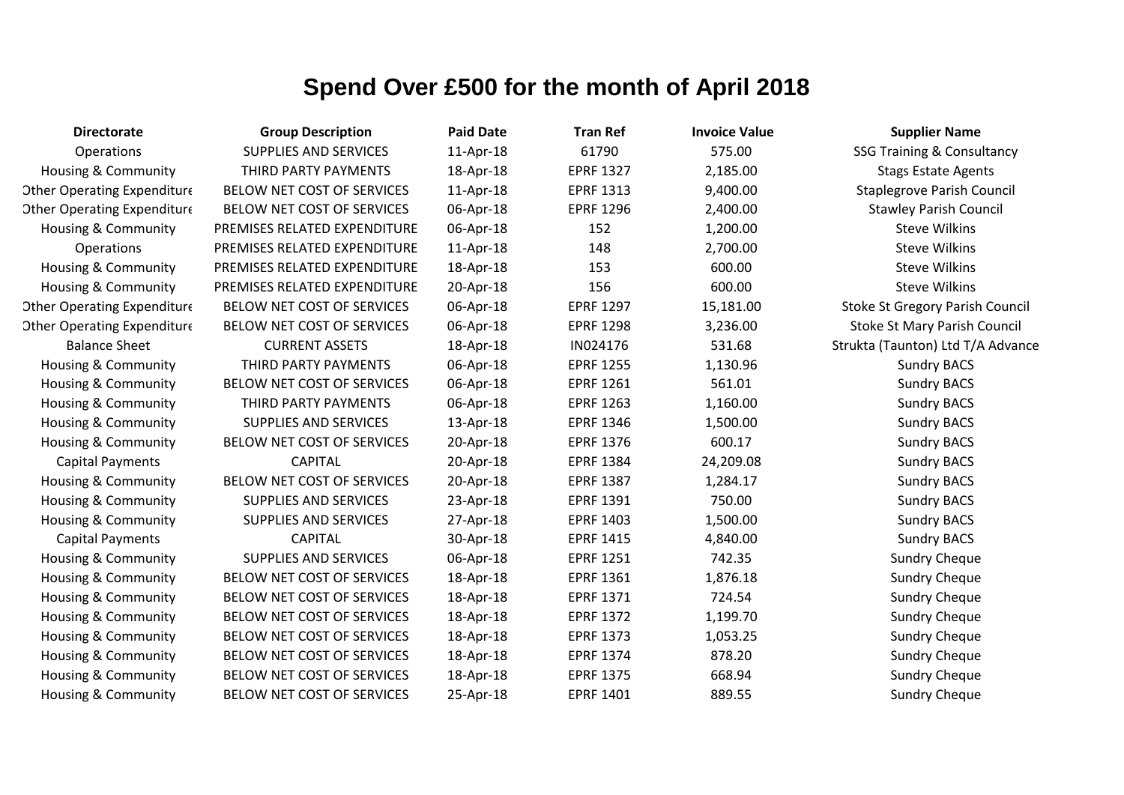| <b>Directorate</b>                 | <b>Group Description</b>     | <b>Paid Date</b> | <b>Tran Ref</b>  | <b>Invoice Value</b> | <b>Supplier Name</b>                   |
|------------------------------------|------------------------------|------------------|------------------|----------------------|----------------------------------------|
| Operations                         | <b>SUPPLIES AND SERVICES</b> | 11-Apr-18        | 61790            | 575.00               | <b>SSG Training &amp; Consultancy</b>  |
| Housing & Community                | THIRD PARTY PAYMENTS         | 18-Apr-18        | <b>EPRF 1327</b> | 2,185.00             | <b>Stags Estate Agents</b>             |
| <b>Other Operating Expenditure</b> | BELOW NET COST OF SERVICES   | 11-Apr-18        | <b>EPRF 1313</b> | 9,400.00             | <b>Staplegrove Parish Council</b>      |
| <b>Other Operating Expenditure</b> | BELOW NET COST OF SERVICES   | 06-Apr-18        | <b>EPRF 1296</b> | 2,400.00             | <b>Stawley Parish Council</b>          |
| Housing & Community                | PREMISES RELATED EXPENDITURE | 06-Apr-18        | 152              | 1,200.00             | <b>Steve Wilkins</b>                   |
| <b>Operations</b>                  | PREMISES RELATED EXPENDITURE | 11-Apr-18        | 148              | 2,700.00             | <b>Steve Wilkins</b>                   |
| <b>Housing &amp; Community</b>     | PREMISES RELATED EXPENDITURE | 18-Apr-18        | 153              | 600.00               | <b>Steve Wilkins</b>                   |
| Housing & Community                | PREMISES RELATED EXPENDITURE | 20-Apr-18        | 156              | 600.00               | <b>Steve Wilkins</b>                   |
| <b>Other Operating Expenditure</b> | BELOW NET COST OF SERVICES   | 06-Apr-18        | <b>EPRF 1297</b> | 15,181.00            | <b>Stoke St Gregory Parish Council</b> |
| <b>Other Operating Expenditure</b> | BELOW NET COST OF SERVICES   | 06-Apr-18        | <b>EPRF 1298</b> | 3,236.00             | <b>Stoke St Mary Parish Council</b>    |
| <b>Balance Sheet</b>               | <b>CURRENT ASSETS</b>        | 18-Apr-18        | IN024176         | 531.68               | Strukta (Taunton) Ltd T/A Advance      |
| <b>Housing &amp; Community</b>     | THIRD PARTY PAYMENTS         | 06-Apr-18        | <b>EPRF 1255</b> | 1,130.96             | <b>Sundry BACS</b>                     |
| <b>Housing &amp; Community</b>     | BELOW NET COST OF SERVICES   | 06-Apr-18        | <b>EPRF 1261</b> | 561.01               | <b>Sundry BACS</b>                     |
| <b>Housing &amp; Community</b>     | THIRD PARTY PAYMENTS         | 06-Apr-18        | <b>EPRF 1263</b> | 1,160.00             | <b>Sundry BACS</b>                     |
| Housing & Community                | <b>SUPPLIES AND SERVICES</b> | 13-Apr-18        | <b>EPRF 1346</b> | 1,500.00             | <b>Sundry BACS</b>                     |
| Housing & Community                | BELOW NET COST OF SERVICES   | 20-Apr-18        | <b>EPRF 1376</b> | 600.17               | <b>Sundry BACS</b>                     |
| <b>Capital Payments</b>            | <b>CAPITAL</b>               | 20-Apr-18        | <b>EPRF 1384</b> | 24,209.08            | <b>Sundry BACS</b>                     |
| <b>Housing &amp; Community</b>     | BELOW NET COST OF SERVICES   | 20-Apr-18        | <b>EPRF 1387</b> | 1,284.17             | <b>Sundry BACS</b>                     |
| <b>Housing &amp; Community</b>     | SUPPLIES AND SERVICES        | 23-Apr-18        | <b>EPRF 1391</b> | 750.00               | <b>Sundry BACS</b>                     |
| Housing & Community                | <b>SUPPLIES AND SERVICES</b> | 27-Apr-18        | <b>EPRF 1403</b> | 1,500.00             | <b>Sundry BACS</b>                     |
| <b>Capital Payments</b>            | <b>CAPITAL</b>               | 30-Apr-18        | <b>EPRF 1415</b> | 4,840.00             | <b>Sundry BACS</b>                     |
| <b>Housing &amp; Community</b>     | SUPPLIES AND SERVICES        | 06-Apr-18        | <b>EPRF 1251</b> | 742.35               | <b>Sundry Cheque</b>                   |
| <b>Housing &amp; Community</b>     | BELOW NET COST OF SERVICES   | 18-Apr-18        | <b>EPRF 1361</b> | 1,876.18             | <b>Sundry Cheque</b>                   |
| <b>Housing &amp; Community</b>     | BELOW NET COST OF SERVICES   | 18-Apr-18        | <b>EPRF 1371</b> | 724.54               | <b>Sundry Cheque</b>                   |
| <b>Housing &amp; Community</b>     | BELOW NET COST OF SERVICES   | 18-Apr-18        | <b>EPRF 1372</b> | 1,199.70             | <b>Sundry Cheque</b>                   |
| <b>Housing &amp; Community</b>     | BELOW NET COST OF SERVICES   | 18-Apr-18        | <b>EPRF 1373</b> | 1,053.25             | <b>Sundry Cheque</b>                   |
| <b>Housing &amp; Community</b>     | BELOW NET COST OF SERVICES   | 18-Apr-18        | <b>EPRF 1374</b> | 878.20               | <b>Sundry Cheque</b>                   |
| Housing & Community                | BELOW NET COST OF SERVICES   | 18-Apr-18        | <b>EPRF 1375</b> | 668.94               | <b>Sundry Cheque</b>                   |
| <b>Housing &amp; Community</b>     | BELOW NET COST OF SERVICES   | 25-Apr-18        | <b>EPRF 1401</b> | 889.55               | <b>Sundry Cheque</b>                   |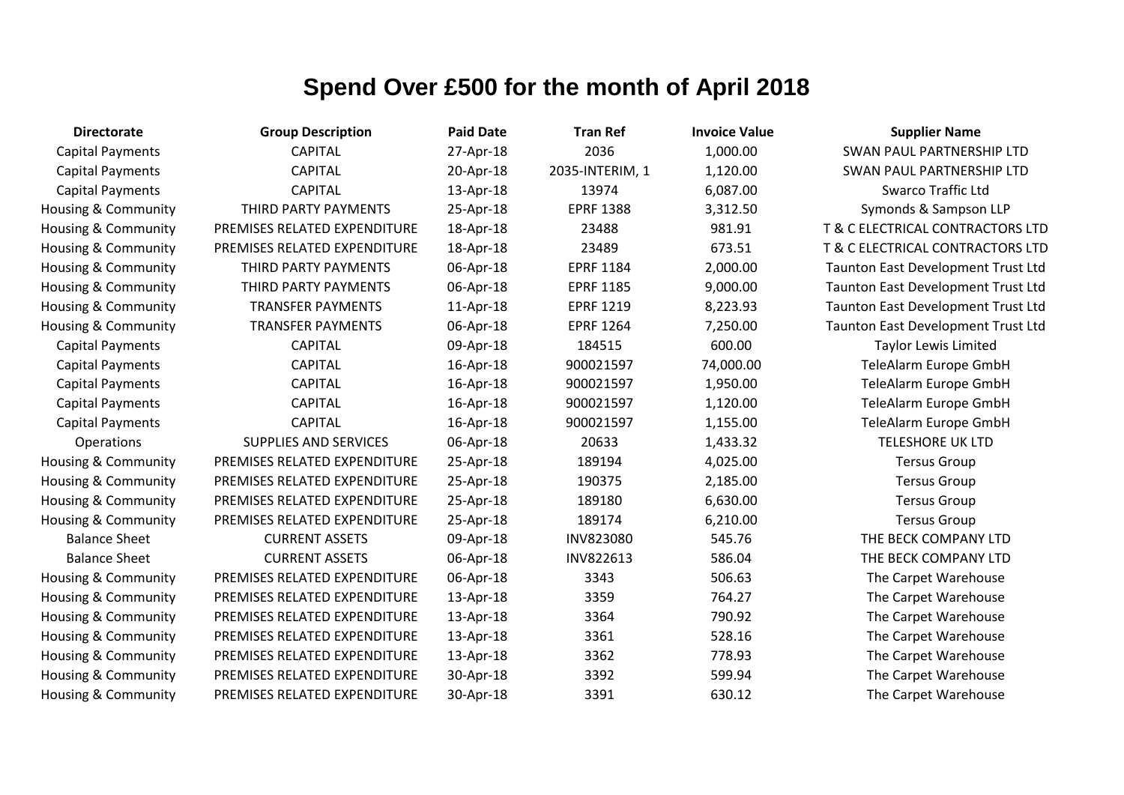| <b>Directorate</b>      | <b>Group Description</b>     | <b>Paid Date</b> | <b>Tran Ref</b>  | <b>Invoice Value</b> | <b>Supplier Name</b>               |
|-------------------------|------------------------------|------------------|------------------|----------------------|------------------------------------|
| <b>Capital Payments</b> | <b>CAPITAL</b>               | 27-Apr-18        | 2036             | 1,000.00             | SWAN PAUL PARTNERSHIP LTD          |
| <b>Capital Payments</b> | <b>CAPITAL</b>               | 20-Apr-18        | 2035-INTERIM, 1  | 1,120.00             | SWAN PAUL PARTNERSHIP LTD          |
| <b>Capital Payments</b> | <b>CAPITAL</b>               | 13-Apr-18        | 13974            | 6,087.00             | <b>Swarco Traffic Ltd</b>          |
| Housing & Community     | THIRD PARTY PAYMENTS         | 25-Apr-18        | <b>EPRF 1388</b> | 3,312.50             | Symonds & Sampson LLP              |
| Housing & Community     | PREMISES RELATED EXPENDITURE | 18-Apr-18        | 23488            | 981.91               | T & C ELECTRICAL CONTRACTORS LTD   |
| Housing & Community     | PREMISES RELATED EXPENDITURE | 18-Apr-18        | 23489            | 673.51               | T & C ELECTRICAL CONTRACTORS LTD   |
| Housing & Community     | THIRD PARTY PAYMENTS         | 06-Apr-18        | <b>EPRF 1184</b> | 2,000.00             | Taunton East Development Trust Ltd |
| Housing & Community     | THIRD PARTY PAYMENTS         | 06-Apr-18        | <b>EPRF 1185</b> | 9,000.00             | Taunton East Development Trust Ltd |
| Housing & Community     | <b>TRANSFER PAYMENTS</b>     | 11-Apr-18        | <b>EPRF 1219</b> | 8,223.93             | Taunton East Development Trust Ltd |
| Housing & Community     | <b>TRANSFER PAYMENTS</b>     | 06-Apr-18        | <b>EPRF 1264</b> | 7,250.00             | Taunton East Development Trust Ltd |
| <b>Capital Payments</b> | <b>CAPITAL</b>               | 09-Apr-18        | 184515           | 600.00               | <b>Taylor Lewis Limited</b>        |
| <b>Capital Payments</b> | <b>CAPITAL</b>               | 16-Apr-18        | 900021597        | 74,000.00            | TeleAlarm Europe GmbH              |
| <b>Capital Payments</b> | <b>CAPITAL</b>               | 16-Apr-18        | 900021597        | 1,950.00             | TeleAlarm Europe GmbH              |
| <b>Capital Payments</b> | <b>CAPITAL</b>               | 16-Apr-18        | 900021597        | 1,120.00             | TeleAlarm Europe GmbH              |
| <b>Capital Payments</b> | <b>CAPITAL</b>               | 16-Apr-18        | 900021597        | 1,155.00             | TeleAlarm Europe GmbH              |
| Operations              | <b>SUPPLIES AND SERVICES</b> | 06-Apr-18        | 20633            | 1,433.32             | <b>TELESHORE UK LTD</b>            |
| Housing & Community     | PREMISES RELATED EXPENDITURE | 25-Apr-18        | 189194           | 4,025.00             | <b>Tersus Group</b>                |
| Housing & Community     | PREMISES RELATED EXPENDITURE | 25-Apr-18        | 190375           | 2,185.00             | <b>Tersus Group</b>                |
| Housing & Community     | PREMISES RELATED EXPENDITURE | 25-Apr-18        | 189180           | 6,630.00             | <b>Tersus Group</b>                |
| Housing & Community     | PREMISES RELATED EXPENDITURE | 25-Apr-18        | 189174           | 6,210.00             | <b>Tersus Group</b>                |
| <b>Balance Sheet</b>    | <b>CURRENT ASSETS</b>        | 09-Apr-18        | INV823080        | 545.76               | THE BECK COMPANY LTD               |
| <b>Balance Sheet</b>    | <b>CURRENT ASSETS</b>        | 06-Apr-18        | INV822613        | 586.04               | THE BECK COMPANY LTD               |
| Housing & Community     | PREMISES RELATED EXPENDITURE | 06-Apr-18        | 3343             | 506.63               | The Carpet Warehouse               |
| Housing & Community     | PREMISES RELATED EXPENDITURE | 13-Apr-18        | 3359             | 764.27               | The Carpet Warehouse               |
| Housing & Community     | PREMISES RELATED EXPENDITURE | 13-Apr-18        | 3364             | 790.92               | The Carpet Warehouse               |
| Housing & Community     | PREMISES RELATED EXPENDITURE | 13-Apr-18        | 3361             | 528.16               | The Carpet Warehouse               |
| Housing & Community     | PREMISES RELATED EXPENDITURE | 13-Apr-18        | 3362             | 778.93               | The Carpet Warehouse               |
| Housing & Community     | PREMISES RELATED EXPENDITURE | 30-Apr-18        | 3392             | 599.94               | The Carpet Warehouse               |
| Housing & Community     | PREMISES RELATED EXPENDITURE | 30-Apr-18        | 3391             | 630.12               | The Carpet Warehouse               |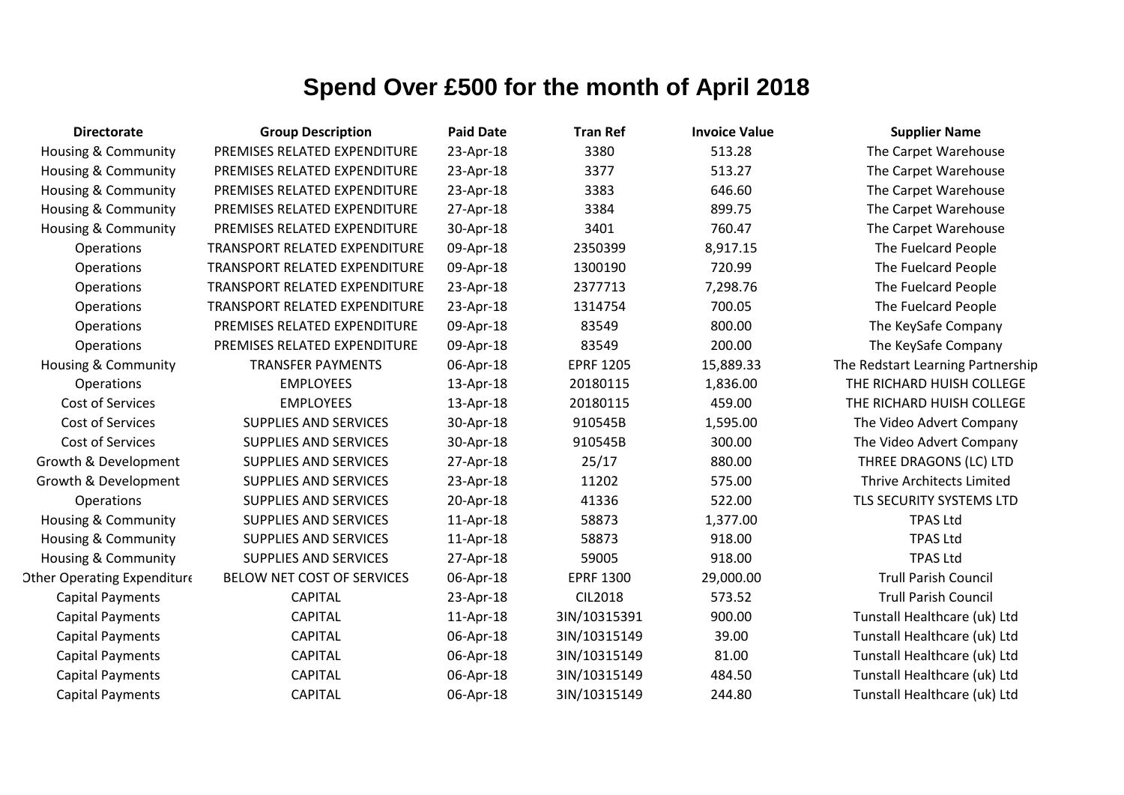| <b>Directorate</b>                 | <b>Group Description</b>      | <b>Paid Date</b> | <b>Tran Ref</b>  | <b>Invoice Value</b> | <b>Supplier Name</b>              |
|------------------------------------|-------------------------------|------------------|------------------|----------------------|-----------------------------------|
| <b>Housing &amp; Community</b>     | PREMISES RELATED EXPENDITURE  | 23-Apr-18        | 3380             | 513.28               | The Carpet Warehouse              |
| <b>Housing &amp; Community</b>     | PREMISES RELATED EXPENDITURE  | 23-Apr-18        | 3377             | 513.27               | The Carpet Warehouse              |
| <b>Housing &amp; Community</b>     | PREMISES RELATED EXPENDITURE  | 23-Apr-18        | 3383             | 646.60               | The Carpet Warehouse              |
| <b>Housing &amp; Community</b>     | PREMISES RELATED EXPENDITURE  | 27-Apr-18        | 3384             | 899.75               | The Carpet Warehouse              |
| <b>Housing &amp; Community</b>     | PREMISES RELATED EXPENDITURE  | 30-Apr-18        | 3401             | 760.47               | The Carpet Warehouse              |
| Operations                         | TRANSPORT RELATED EXPENDITURE | 09-Apr-18        | 2350399          | 8,917.15             | The Fuelcard People               |
| Operations                         | TRANSPORT RELATED EXPENDITURE | 09-Apr-18        | 1300190          | 720.99               | The Fuelcard People               |
| Operations                         | TRANSPORT RELATED EXPENDITURE | 23-Apr-18        | 2377713          | 7,298.76             | The Fuelcard People               |
| Operations                         | TRANSPORT RELATED EXPENDITURE | 23-Apr-18        | 1314754          | 700.05               | The Fuelcard People               |
| Operations                         | PREMISES RELATED EXPENDITURE  | 09-Apr-18        | 83549            | 800.00               | The KeySafe Company               |
| Operations                         | PREMISES RELATED EXPENDITURE  | 09-Apr-18        | 83549            | 200.00               | The KeySafe Company               |
| Housing & Community                | <b>TRANSFER PAYMENTS</b>      | 06-Apr-18        | <b>EPRF 1205</b> | 15,889.33            | The Redstart Learning Partnership |
| Operations                         | <b>EMPLOYEES</b>              | 13-Apr-18        | 20180115         | 1,836.00             | THE RICHARD HUISH COLLEGE         |
| Cost of Services                   | <b>EMPLOYEES</b>              | 13-Apr-18        | 20180115         | 459.00               | THE RICHARD HUISH COLLEGE         |
| Cost of Services                   | <b>SUPPLIES AND SERVICES</b>  | 30-Apr-18        | 910545B          | 1,595.00             | The Video Advert Company          |
| Cost of Services                   | <b>SUPPLIES AND SERVICES</b>  | 30-Apr-18        | 910545B          | 300.00               | The Video Advert Company          |
| Growth & Development               | SUPPLIES AND SERVICES         | 27-Apr-18        | 25/17            | 880.00               | THREE DRAGONS (LC) LTD            |
| Growth & Development               | <b>SUPPLIES AND SERVICES</b>  | 23-Apr-18        | 11202            | 575.00               | Thrive Architects Limited         |
| Operations                         | <b>SUPPLIES AND SERVICES</b>  | 20-Apr-18        | 41336            | 522.00               | TLS SECURITY SYSTEMS LTD          |
| Housing & Community                | <b>SUPPLIES AND SERVICES</b>  | 11-Apr-18        | 58873            | 1,377.00             | <b>TPAS Ltd</b>                   |
| Housing & Community                | SUPPLIES AND SERVICES         | 11-Apr-18        | 58873            | 918.00               | <b>TPAS Ltd</b>                   |
| <b>Housing &amp; Community</b>     | <b>SUPPLIES AND SERVICES</b>  | 27-Apr-18        | 59005            | 918.00               | <b>TPAS Ltd</b>                   |
| <b>Other Operating Expenditure</b> | BELOW NET COST OF SERVICES    | 06-Apr-18        | <b>EPRF 1300</b> | 29,000.00            | <b>Trull Parish Council</b>       |
| <b>Capital Payments</b>            | <b>CAPITAL</b>                | 23-Apr-18        | <b>CIL2018</b>   | 573.52               | <b>Trull Parish Council</b>       |
| <b>Capital Payments</b>            | <b>CAPITAL</b>                | 11-Apr-18        | 3IN/10315391     | 900.00               | Tunstall Healthcare (uk) Ltd      |
| <b>Capital Payments</b>            | <b>CAPITAL</b>                | 06-Apr-18        | 3IN/10315149     | 39.00                | Tunstall Healthcare (uk) Ltd      |
| <b>Capital Payments</b>            | <b>CAPITAL</b>                | 06-Apr-18        | 3IN/10315149     | 81.00                | Tunstall Healthcare (uk) Ltd      |
| <b>Capital Payments</b>            | <b>CAPITAL</b>                | 06-Apr-18        | 3IN/10315149     | 484.50               | Tunstall Healthcare (uk) Ltd      |
| <b>Capital Payments</b>            | <b>CAPITAL</b>                | 06-Apr-18        | 3IN/10315149     | 244.80               | Tunstall Healthcare (uk) Ltd      |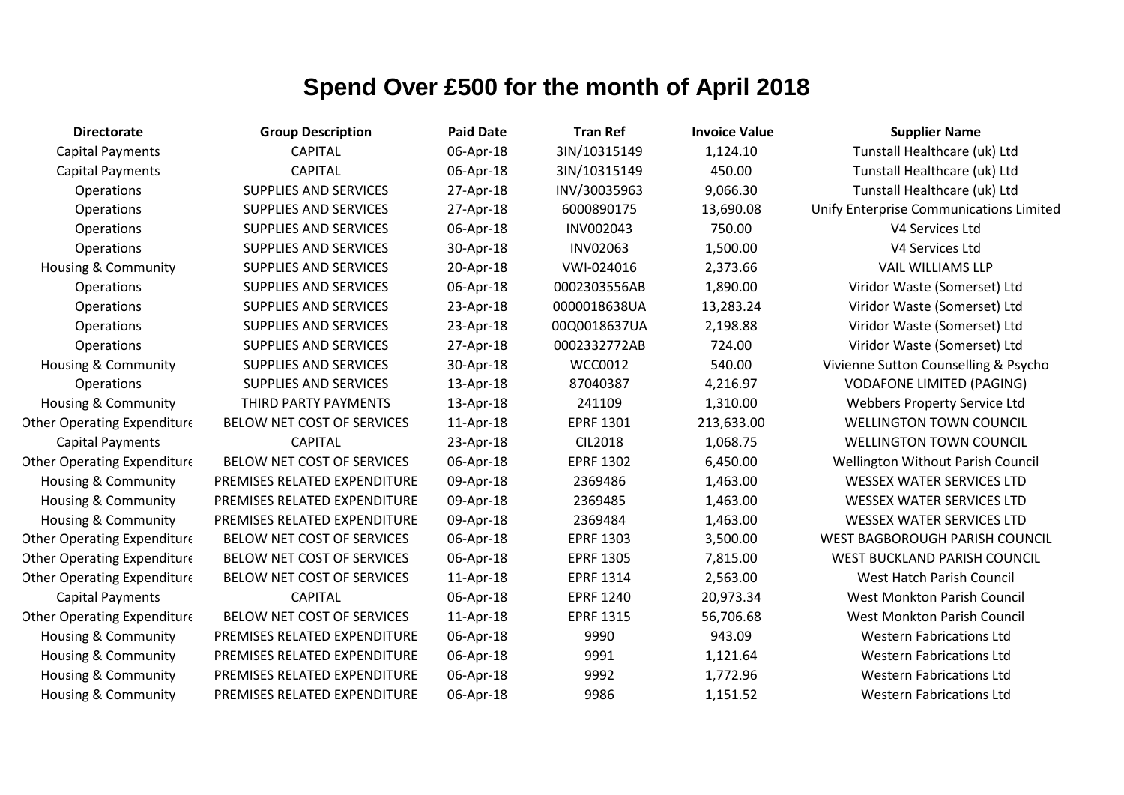| <b>Directorate</b>                 | <b>Group Description</b>     | <b>Paid Date</b> | <b>Tran Ref</b>  | <b>Invoice Value</b> | <b>Supplier Name</b>                    |
|------------------------------------|------------------------------|------------------|------------------|----------------------|-----------------------------------------|
| <b>Capital Payments</b>            | <b>CAPITAL</b>               | 06-Apr-18        | 3IN/10315149     | 1,124.10             | Tunstall Healthcare (uk) Ltd            |
| <b>Capital Payments</b>            | <b>CAPITAL</b>               | 06-Apr-18        | 3IN/10315149     | 450.00               | Tunstall Healthcare (uk) Ltd            |
| Operations                         | <b>SUPPLIES AND SERVICES</b> | 27-Apr-18        | INV/30035963     | 9,066.30             | Tunstall Healthcare (uk) Ltd            |
| Operations                         | <b>SUPPLIES AND SERVICES</b> | 27-Apr-18        | 6000890175       | 13,690.08            | Unify Enterprise Communications Limited |
| Operations                         | <b>SUPPLIES AND SERVICES</b> | 06-Apr-18        | <b>INV002043</b> | 750.00               | V4 Services Ltd                         |
| Operations                         | <b>SUPPLIES AND SERVICES</b> | 30-Apr-18        | <b>INV02063</b>  | 1,500.00             | V4 Services Ltd                         |
| Housing & Community                | <b>SUPPLIES AND SERVICES</b> | 20-Apr-18        | VWI-024016       | 2,373.66             | <b>VAIL WILLIAMS LLP</b>                |
| Operations                         | <b>SUPPLIES AND SERVICES</b> | 06-Apr-18        | 0002303556AB     | 1,890.00             | Viridor Waste (Somerset) Ltd            |
| Operations                         | <b>SUPPLIES AND SERVICES</b> | 23-Apr-18        | 0000018638UA     | 13,283.24            | Viridor Waste (Somerset) Ltd            |
| Operations                         | <b>SUPPLIES AND SERVICES</b> | 23-Apr-18        | 00Q0018637UA     | 2,198.88             | Viridor Waste (Somerset) Ltd            |
| Operations                         | <b>SUPPLIES AND SERVICES</b> | 27-Apr-18        | 0002332772AB     | 724.00               | Viridor Waste (Somerset) Ltd            |
| Housing & Community                | <b>SUPPLIES AND SERVICES</b> | 30-Apr-18        | WCC0012          | 540.00               | Vivienne Sutton Counselling & Psycho    |
| <b>Operations</b>                  | <b>SUPPLIES AND SERVICES</b> | 13-Apr-18        | 87040387         | 4,216.97             | <b>VODAFONE LIMITED (PAGING)</b>        |
| Housing & Community                | THIRD PARTY PAYMENTS         | 13-Apr-18        | 241109           | 1,310.00             | Webbers Property Service Ltd            |
| <b>Other Operating Expenditure</b> | BELOW NET COST OF SERVICES   | 11-Apr-18        | <b>EPRF 1301</b> | 213,633.00           | <b>WELLINGTON TOWN COUNCIL</b>          |
| <b>Capital Payments</b>            | <b>CAPITAL</b>               | 23-Apr-18        | <b>CIL2018</b>   | 1,068.75             | <b>WELLINGTON TOWN COUNCIL</b>          |
| <b>Other Operating Expenditure</b> | BELOW NET COST OF SERVICES   | 06-Apr-18        | <b>EPRF 1302</b> | 6,450.00             | Wellington Without Parish Council       |
| Housing & Community                | PREMISES RELATED EXPENDITURE | 09-Apr-18        | 2369486          | 1,463.00             | <b>WESSEX WATER SERVICES LTD</b>        |
| Housing & Community                | PREMISES RELATED EXPENDITURE | 09-Apr-18        | 2369485          | 1,463.00             | <b>WESSEX WATER SERVICES LTD</b>        |
| Housing & Community                | PREMISES RELATED EXPENDITURE | 09-Apr-18        | 2369484          | 1,463.00             | <b>WESSEX WATER SERVICES LTD</b>        |
| <b>Other Operating Expenditure</b> | BELOW NET COST OF SERVICES   | 06-Apr-18        | <b>EPRF 1303</b> | 3,500.00             | WEST BAGBOROUGH PARISH COUNCIL          |
| <b>Other Operating Expenditure</b> | BELOW NET COST OF SERVICES   | 06-Apr-18        | <b>EPRF 1305</b> | 7,815.00             | <b>WEST BUCKLAND PARISH COUNCIL</b>     |
| <b>Other Operating Expenditure</b> | BELOW NET COST OF SERVICES   | 11-Apr-18        | <b>EPRF 1314</b> | 2,563.00             | West Hatch Parish Council               |
| <b>Capital Payments</b>            | <b>CAPITAL</b>               | 06-Apr-18        | <b>EPRF 1240</b> | 20,973.34            | <b>West Monkton Parish Council</b>      |
| <b>Other Operating Expenditure</b> | BELOW NET COST OF SERVICES   | 11-Apr-18        | <b>EPRF 1315</b> | 56,706.68            | West Monkton Parish Council             |
| Housing & Community                | PREMISES RELATED EXPENDITURE | 06-Apr-18        | 9990             | 943.09               | <b>Western Fabrications Ltd</b>         |
| Housing & Community                | PREMISES RELATED EXPENDITURE | 06-Apr-18        | 9991             | 1,121.64             | <b>Western Fabrications Ltd</b>         |
| Housing & Community                | PREMISES RELATED EXPENDITURE | 06-Apr-18        | 9992             | 1,772.96             | <b>Western Fabrications Ltd</b>         |
| Housing & Community                | PREMISES RELATED EXPENDITURE | 06-Apr-18        | 9986             | 1,151.52             | <b>Western Fabrications Ltd</b>         |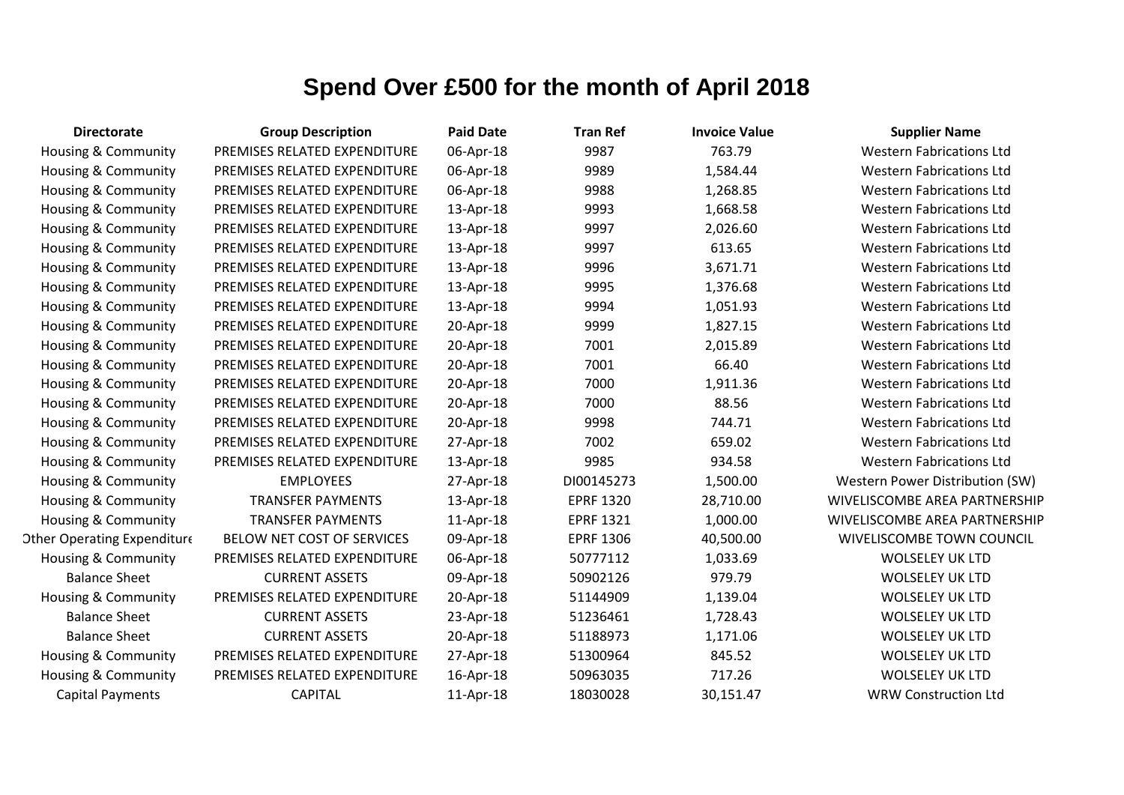| <b>Directorate</b>                 | <b>Group Description</b>     | <b>Paid Date</b> | <b>Tran Ref</b>  | <b>Invoice Value</b> | <b>Supplier Name</b>            |
|------------------------------------|------------------------------|------------------|------------------|----------------------|---------------------------------|
| Housing & Community                | PREMISES RELATED EXPENDITURE | 06-Apr-18        | 9987             | 763.79               | <b>Western Fabrications Ltd</b> |
| <b>Housing &amp; Community</b>     | PREMISES RELATED EXPENDITURE | 06-Apr-18        | 9989             | 1,584.44             | <b>Western Fabrications Ltd</b> |
| Housing & Community                | PREMISES RELATED EXPENDITURE | 06-Apr-18        | 9988             | 1,268.85             | <b>Western Fabrications Ltd</b> |
| Housing & Community                | PREMISES RELATED EXPENDITURE | 13-Apr-18        | 9993             | 1,668.58             | <b>Western Fabrications Ltd</b> |
| Housing & Community                | PREMISES RELATED EXPENDITURE | 13-Apr-18        | 9997             | 2,026.60             | <b>Western Fabrications Ltd</b> |
| <b>Housing &amp; Community</b>     | PREMISES RELATED EXPENDITURE | 13-Apr-18        | 9997             | 613.65               | <b>Western Fabrications Ltd</b> |
| Housing & Community                | PREMISES RELATED EXPENDITURE | 13-Apr-18        | 9996             | 3,671.71             | <b>Western Fabrications Ltd</b> |
| Housing & Community                | PREMISES RELATED EXPENDITURE | 13-Apr-18        | 9995             | 1,376.68             | <b>Western Fabrications Ltd</b> |
| Housing & Community                | PREMISES RELATED EXPENDITURE | 13-Apr-18        | 9994             | 1,051.93             | <b>Western Fabrications Ltd</b> |
| <b>Housing &amp; Community</b>     | PREMISES RELATED EXPENDITURE | 20-Apr-18        | 9999             | 1,827.15             | <b>Western Fabrications Ltd</b> |
| <b>Housing &amp; Community</b>     | PREMISES RELATED EXPENDITURE | 20-Apr-18        | 7001             | 2,015.89             | <b>Western Fabrications Ltd</b> |
| <b>Housing &amp; Community</b>     | PREMISES RELATED EXPENDITURE | 20-Apr-18        | 7001             | 66.40                | <b>Western Fabrications Ltd</b> |
| Housing & Community                | PREMISES RELATED EXPENDITURE | 20-Apr-18        | 7000             | 1,911.36             | <b>Western Fabrications Ltd</b> |
| <b>Housing &amp; Community</b>     | PREMISES RELATED EXPENDITURE | 20-Apr-18        | 7000             | 88.56                | <b>Western Fabrications Ltd</b> |
| Housing & Community                | PREMISES RELATED EXPENDITURE | 20-Apr-18        | 9998             | 744.71               | <b>Western Fabrications Ltd</b> |
| Housing & Community                | PREMISES RELATED EXPENDITURE | 27-Apr-18        | 7002             | 659.02               | <b>Western Fabrications Ltd</b> |
| Housing & Community                | PREMISES RELATED EXPENDITURE | 13-Apr-18        | 9985             | 934.58               | <b>Western Fabrications Ltd</b> |
| <b>Housing &amp; Community</b>     | <b>EMPLOYEES</b>             | 27-Apr-18        | DI00145273       | 1,500.00             | Western Power Distribution (SW) |
| Housing & Community                | <b>TRANSFER PAYMENTS</b>     | 13-Apr-18        | <b>EPRF 1320</b> | 28,710.00            | WIVELISCOMBE AREA PARTNERSHIP   |
| <b>Housing &amp; Community</b>     | <b>TRANSFER PAYMENTS</b>     | 11-Apr-18        | <b>EPRF 1321</b> | 1,000.00             | WIVELISCOMBE AREA PARTNERSHIP   |
| <b>Other Operating Expenditure</b> | BELOW NET COST OF SERVICES   | 09-Apr-18        | <b>EPRF 1306</b> | 40,500.00            | WIVELISCOMBE TOWN COUNCIL       |
| <b>Housing &amp; Community</b>     | PREMISES RELATED EXPENDITURE | 06-Apr-18        | 50777112         | 1,033.69             | <b>WOLSELEY UK LTD</b>          |
| <b>Balance Sheet</b>               | <b>CURRENT ASSETS</b>        | 09-Apr-18        | 50902126         | 979.79               | <b>WOLSELEY UK LTD</b>          |
| Housing & Community                | PREMISES RELATED EXPENDITURE | 20-Apr-18        | 51144909         | 1,139.04             | <b>WOLSELEY UK LTD</b>          |
| <b>Balance Sheet</b>               | <b>CURRENT ASSETS</b>        | 23-Apr-18        | 51236461         | 1,728.43             | <b>WOLSELEY UK LTD</b>          |
| <b>Balance Sheet</b>               | <b>CURRENT ASSETS</b>        | 20-Apr-18        | 51188973         | 1,171.06             | <b>WOLSELEY UK LTD</b>          |
| <b>Housing &amp; Community</b>     | PREMISES RELATED EXPENDITURE | 27-Apr-18        | 51300964         | 845.52               | <b>WOLSELEY UK LTD</b>          |
| Housing & Community                | PREMISES RELATED EXPENDITURE | 16-Apr-18        | 50963035         | 717.26               | <b>WOLSELEY UK LTD</b>          |
| <b>Capital Payments</b>            | <b>CAPITAL</b>               | 11-Apr-18        | 18030028         | 30,151.47            | <b>WRW Construction Ltd</b>     |